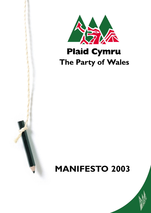

# **Plaid Cymru** The Party of Wales

# **MANIFESTO 2003**

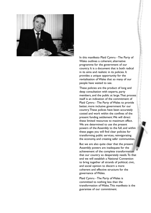

In this manifesto Plaid Cymru - The Party of Wales outlines a coherent, alternative programme for the government of our country. It is a document that is both radical in its aims and realistic in its policies. It provides a unique opportunity for the revitalisation of Wales that so many of our people have waited to see.

These policies are the product of long and deep consultation with experts, party members, and the public at large.That process itself is an indication of the commitment of Plaid Cymru - The Party of Wales to provide better, more inclusive government for our country.These polices have been accurately costed and work within the confines of the present funding settlement.We will direct these limited resources to maximum effect. We are determined to use the present powers of the Assembly to the full, and within these pages you will find clear policies for transforming public services, reinvigorating the economy, and creating safer communities.

But we are also quite clear that the present Assembly powers are inadequate for the achievement of the complete transformation that our country so desperately needs.To that end we will establish a National Convention to bring together all strands of political, civic, and social opinion to discern a more coherent and effective structure for the governance of Wales.

Plaid Cymru - The Party of Wales is committed to nothing less than the transformation of Wales.This manifesto is the guarantee of our commitment.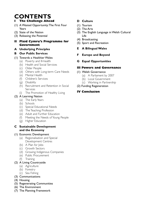# **CONTENTS**

# **I The Challenge Ahead**

- (1) A Wasted Opportunity:The First Four Years
- (2) State of the Nation
- (3) Releasing the Potential
- **II Plaid Cymru's Programme for Government**
- **A Underlying Principles**
- **B Our Public Services**
- (1) Towards a Healthier Wales
	- (a) Poverty and Ill-health
	- (b) Health and Social Services
	- (c) Older People
	- (d) Others with Long-term Care Needs
	- (e) Mental Health
	- (f) Children's Services
	- (g) Disability
	- (h) Recruitment and Retention in Social Services
	- (i) The Promotion of Healthy Living

# (2) A Learning Nation

- (a) The Early Years
- (b) Schools
- (c) Special Educational Needs
- (d) The Teaching Profession
- (e) Adult and Further Education
- (f) Meeting the Needs of Young People
- (g) Higher Education

## **C Sustainable Development and the Economy**

# (1) Economic Development

- (a) Regionalisation and Special Development Centres
- (b) A Plan for Jobs
- (c) Growth Sectors
- (d) Growing Indigenous Companies
- (e) Public Procurement
- (f) Training

# (2) A Living Countryside

- (a) Agriculture
- (b) Forestry
- (c) Sea Fishing
- (3) Communications
- (4) Housing
- (5) Regenerating Communities
- (6) The Environment
- (7) The Planning Framework

# **D Culture**

- (1) Tourism
- (2) The Arts
- (3) The English Language in Welsh Cultural Life
- (4) Broadcasting
- (5) Sport and Recreation
- **E A Bilingual Wales**
- **F Europe and Beyond**
- **G Equal Opportunities**

# **III Powers and Governance**

- (1) Welsh Governance
	- (a) A Parliament by 2007
	- (b) Local Government
	- (c) Working in Partnership
- (2) Funding Regeneration

# **IV Conclusion**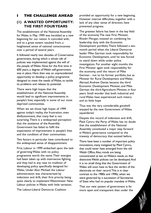# **I THE CHALLENGE AHEAD**

# **(1) A WASTED OPPORTUNITY: THE FIRST FOUR YEARS**

The establishment of the National Assembly for Wales in May 1999 was heralded as a new beginning for our nation. It coincided with, and to a great extent resulted from, a heightened sense of national consciousness over a period of several years.

It followed nearly two decades of Conservative government, during which a whole raft of policies was implemented against the will of the people of Wales. Now, for the first time in 600 years, a degree of Welsh self-government was in place. Here then was an unprecedented opportunity to develop a policy programme designed to meet the needs of Wales, to tackle its problems and release its potential.

There were high hopes that the establishment of the National Assembly would lead to significant improvements in people's lives, especially in some of our most deprived communities.

When we set those high hopes of 1999 against today's reality, the frustration, even disillusionment, that many feel is not surprising.There is a widespread perception that the existence of the Assembly Government has failed to fulfil the expectation of improvement in people's lives and the condition of their communities.

Two factors in particular have contributed to the widespread sense of disappointment.

First, Labour in 1999 embarked upon the task of governing Wales with no policy programme worth the name.Their energies had been taken up with internecine fighting, and they had in any case no tradition of developing policy specifically designed for Wales. Under Alun Michael the Labour administration was characterised by indecision and drift, their first priority being quite clearly to implement Westminster New Labour policies in Wales with little variation.

The Labour-Liberal Democrat Coalition

provided an opportunity for a new beginning. However internal difficulties, together with a lack of any clear sense of direction, have prevented progress.

The greatest failure has been in the key field of the economy.The new First Minister, Rhodri Morgan, insisted on combining his leadership duty with the Economic Development portfolio.There followed a tenmonth period when the Liberal Democrat leader Mike German took responsibility for Economic Development, until he was forced to stand down while under police investigation. For another eight months the First Minister again took responsibility for the economy, until the return of Mike German - not to his former portfolio, but as Minister for Rural Development and Wales Abroad.Andrew Davies became the third Economic Development Minister, and Mike German the third Agriculture Minister, in four years. Small wonder that both industrial and rural Wales have experienced such misery and so little hope

Thus was the very considerable goodwill enjoyed by the new Government of Wales squandered.

Despite this record of indecision and drift, Plaid Cymru the Party of Wales has no doubt that the establishment of the National Assembly constituted a major step forward in Wales's governance compared to the travesty of democracy that existed before.

There have been a number of important policy innovations, many instigated by Plaid Cymru, that could never have emerged from the old Welsh Office.Also, minds are being concentrated at last on Wales's needs, so that distinctive Welsh policies can be developed.And it is no small thing that the Government of Wales will soon have to face the verdict of the electorate on their record.This is in clear contrast to the 1980s and 1990s, when we were governed by a succession of Secretaries of State who had no popular mandate in Wales.

That our new system of government is far more open and transparent than under the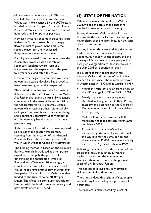old system is an enormous gain.This has enabled Plaid Cymru to expose the way Wales was short-changed by the UK Treasury in relation to the European Structural Funds. As a result Wales is better off to the tune of hundreds of million pounds per year.

However, what has become increasingly clear is that the National Assembly is a deeply flawed model of government.This is the second reason for the widespread disappointment mentioned above.

Plaid Cymru argued from the outset that the Assembly's powers, based entirely on secondary legislation, were seriously inadequate, and the experience of the past four years has vindicated this view.

However, the degree of confusion over what powers are actually devolved has proved to have been even greater than expected.

This confusion derives from the fundamental deficiencies of the 1998 Government of Wales Act. Rather than giving the Assembly a general competence in the areas of its responsibility, the Act transferred to it piecemeal certain powers while retaining others, either wholly or in part.The result is enormous complexity, and a constant uncertainty as to whether or not the Assembly has the power to act in a particular way.

A third cause of frustration has been exposed as a result of the greater transparency resulting from the creation of the National Assembly.This is the serious injustice of the way in which Wales is funded by Westminster.

The funding method is based on the so-called Barnett formula. Introduced as a temporary expedient to simplify the process of determining the annual block grant for Scotland and Wales over 20 years ago, it completely fails to reflect the way in which Wales' needs have dramatically changed over that period.The result is that Wales is underfunded to the tune of some £800m per annum.The effect is a continuing struggle to keep up with the level of service delivery and new development in England.

# **(2) STATE OF THE NATION**

When we examine the reality of Wales in 2003, we see the scale of the challenge involved in regenerating our country.

Having dominated Welsh politics for most of the twentieth century, Labour must accept a major share of the responsibility for the state of our nation today.

Bearing in mind the chronic difficulties in our health service, our under-performing economy, our deeply unjust society, and the poverty of far too many of our people, it is hardly an exaggeration to describe Wales in the year 2003 as a country in crisis.

It is a sad fact that the prosperity gap between Wales and the rest of the UK has opened further since Labour came to power in Westminster in 1997 and in Cardiff in 1999.

- Wages in Wales have fallen from 89.1% of the UK average in 1998 to 86% in 2002.
- Nearly a quarter of our people are classified as being in the EU Basic Poverty category, and according to the Children's Commissioner one-third of our children live in poverty.
- Wales suffered a net loss of 12,000 manufacturing jobs between March 2001 and March 2002.
- Economic inactivity in Wales has increased by 5% under Labour, at double the UK rate for the same period, and there are now 22,000 more economically inactive 16-24 year olds than in 1999.

Following the almost total destruction of our traditional heavy industries, 20 years of neglect have turned the communities that sustained them into some of the poorest areas of the European Union.

This has led to disturbingly high levels of sickness and ill-health in these areas.

There, and indeed throughout Wales, people are suffering from inadequate provision of healthcare.

The problem is exacerbated by a lack of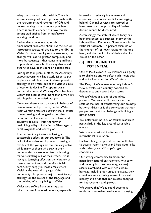adequate capacity to deal with it.There is a severe shortage of health professionals, with the recruitment and retention of GPs and nurses proving to be a serious problem. There is ample evidence of a low morale among staff arising from unsatisfactory working conditions.

Rather than concentrating on this fundamental problem, Labour has focused on introducing structural changes to the NHS in Wales. Far from simplifying the structure, the changes will lead to greater complexity and more bureaucracy - thus consuming millions of pounds of scarce NHS money that could otherwise have been spent on patient care.

During its four years in office, the Assembly's Labour government has utterly failed to put in place a credible economic development strategy to lift Wales out of the vicious circle of economic decline.The optimistically entitled document A Winning Wales has been widely criticised as little more than a wish-list with hopelessly unrealistic targets.

Moreover, there is also a severe imbalance of development and prosperity within Wales itself. Certain areas are suffering the ill-effects of overheating and congestion. In others, economic decline can be seen in town and countryside alike - from the former coalmining valleys of the South Glamorgan to rural Gwynedd and Ceredigion.

The decline in agriculture is having a catastrophic effect on our countryside.The lack of alternative employment is causing an exodus of the young and economically active, while many of those who stay in their communities are excluded from a housing market spiralling out of their reach.This is having a damaging effect on the vibrancy of these communities, and the effect is felt particularly deeply in those areas where Welsh is the natural language of the community.This poses a major threat to any strategy for the revival of the language and the building of a truly bilingual Wales.

Wales also suffers from an antiquated infrastructure. Our road network, especially internally, is seriously inadequate and electronic communication links are lagging behind. Our rail services are starved of investment, and the possibility of further decline cannot be discounted.

Astonishingly, the state of Wales today has been presented as a success- story by the Labour-Liberal Democrat Government in the National Assembly - a perfect example of the triumph of spin over reality on the one hand, and the mediocrity of their vision for Wales on the other.

# **(3) RELEASING THE POTENTIAL**

One of Plaid Cymru's key missions as a party is to challenge and to defeat such mediocrity and lack of ambition for Wales' future.

The Party of Wales rejects utterly Labour's view of Wales as a country doomed to dependency and second-class status.

We see Wales as a land of boundless potential.We have no illusions about the scale of the task of transforming our country, but what drives us is the conviction that our people can meet the challenge of building a better future.

We suffer from no lack of natural resources particularly in the key area of sustainable energy.

We have educational institutions of international reputation.

Far from being peripheral, we are well placed to access major markets and have good links with Ireland, one of Europe's tiger economies.

Our strong community tradition, and magnificent natural environment, with town and country in close proximity, are major assets. Combined with our rich cultural heritage, including our unique language, they contribute to a growing sense of national identity and pride that can release energies for improvement and growth.

We believe that Wales could become a model of sustainable development, bringing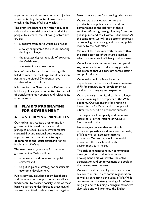together economic success and social justice while protecting the natural environment which is the basis of all our wealth.

The great challenge facing Wales today is to release the potential of our land and all its people.To succeed, the following factors are crucial:

- a positive attitude to Wales as a nation;
- a policy programme focused on meeting the key challenges;
- the greatest degree possible of power at the Welsh level;
- adequate financial resources.

In all of these factors, Labour has signally failed to meet the challenge, and its coalition partners the Liberal Democrats have acquiesced in that failure.

It is time for the Government of Wales to be led by a political party committed to the task of transforming our country and releasing its true potential.

# **II PLAID'S PROGRAMME FOR GOVERNMENT**

# **A UNDERLYING PRINCIPLES**

Our radical but realistic programme for government is based on our central principles of social justice, environmental sustainability and national development, together with a commitment to equal opportunities and equal citizenship for all inhabitants of Wales.

The two most urgent tasks for the next government of Wales will be:

- to safeguard and improve our public services; and
- to put in place a strategy for sustainable economic development.

Public services, including decent healthcare and fair educational opportunities for all are fundamental to civilised society. Some of these basic values are under threat at present, and we are committed to defending them against

New Labour's plans for creeping privatisation.

We reiterate our opposition to the privatisation of public services and our commitment to the delivery of those services efficiently, through funding from the public purse, and to all without distinction.At the same time, we will put a strong emphasis on reducing bureaucracy, and on using public money to the best effect.

We reject the obsession with the use within the public services of the internal market, which can generate inefficiency and unfairness.

We will certainly put an end to the cynical way in which Labour is distorting priorities and planning through constant target-setting and political spin.

We equally deplore New Labour's dependence on the Private Finance Initiative (PFI) for infrastructural development as particularly damaging and expensive.

We are equally committed to the challenge of transforming the prospects of the Welsh economy. Our aspirations for creating a better future for Wales and its people will ultimately depend on economic success.

The dispersal of prosperity and economic vitality to all of the regions of Wales is fundamental in this.

However, we believe that sustainable economic growth should enhance the quality of life as well as increasing material prosperity. Our strategy will have social justice and the enrichment of the environment at its heart.

The task of regenerating our communities must go hand in hand with economic development.This will involve the active participation and empowerment of people in the development process.

We regard cultural vitality and creativity as key contributors to economic regeneration, as well as enhancing our quality of life.While committed to the strengthening of the Welsh language and to building a bilingual nation, we also value and will promote the English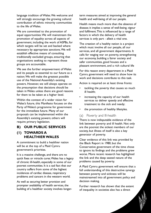language tradition of Wales.We welcome and will strongly encourage the growing cultural contribution of ethnic minority communities to the life of Wales.

We are committed to the promotion of equal opportunities.We will mainstream the promotion of equality across all aspects of government, including the work of ASPBs, for which targets will be set and backed where necessary by appropriate sanctions.We will establish effective means of consulting traditionally excluded groups, ensuring that organisations seeking to represent those groups are accountable.

We see the further empowerment of Wales and its people as essential to our future as a nation.We will make the greatest possible use of the National Assembly's existing powers. However, we will always operate on the presumption that decisions should be taken in Wales unless there are good reasons for them to be taken at a higher level.

Within the context of a wider vision for Wales's future, this Manifesto focuses on the Party of Wales's programme for government for the immediate future. Many of our proposals can be implemented within the Assembly's existing powers; others will require primary legislation.

# **B) OUR PUBLIC SERVICES**

# **(1) TOWARDS A HEALTHIER WALES**

A commitment to build a healthier nation will be at the top of a Plaid Cymru government's priorities.

It is a massive challenge, and there are no quick fixes or miracle cures.Wales has a legacy of chronic ill-health, especially in some of our poorest communities. It is a sad fact that our country suffers from some of the highest incidences of cardiac disease, respiratory problems and cancers in the western world.

As well as securing better provision and prompter availability of health services, the building of a healthier society involves longerterm measures aimed at improving the general health and well-being of all our people.

Health means much more than the absence of disease; it implies a sense of well-being, vigour and fulfilment.This is influenced by a range of factors in which the delivery of health services is only part - albeit a vital one.

The creation of a healthy nation is a project which must involve all our people, all our services, and all government departments. It calls for waging war on poverty, strengthening our economy, building a fairer society and safer communities, good houses and a pleasant environment, and a rich cultural life

For this reason every department in a Plaid Cymru government will need to show how its work and decisions contribute to this task.

Action is required on at least three fronts:

- tackling the poverty that causes so much ill health;
- increasing the capacity of our health services to deliver speedy and effective treatment to the sick and needy;
- the promotion of healthy lifestyles.

#### (a) Poverty and Ill-health

There is now indisputable evidence of the link between poverty and ill health. Not only are the poorest the sickest members of our society, but illness of itself is also a key generator of poverty.

Clear evidence of this link was provided by the Black Report in 1980, but the Conservative government of the time chose to ignore its findings and the problems grew worse. More recent research has highlighted the link and the deep seated nature of the problems caused by poverty.

A Plaid Cymru government will ensure that a full understanding of this destructive synergy between poverty and sickness will be mainstreamed into all government policy and decision making.

Further research has shown that the extent of inequality in societies also has a direct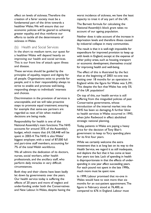effect on levels of sickness.Therefore the creation of a fairer society must be a fundamental part of the drive towards a healthier Wales.We will ensure that our economic policies will be geared to achieving greater equality, and thus reinforce our efforts to tackle all the determinants of sickness in Wales.

#### (b) Health and Social Services

In the short to medium term, our quest for a healthier Wales will depend heavily on improving our health and social services. This is our front line of attack upon illness and disease.

These services should be guided by the principles of equality, respect and dignity for all people. Organisations exist to provide for people, and it is their responsibility always to strive to enable and promote well-being, responding always to individuals' interests and choices.

Discrimination in the provision of services is unacceptable, and we will take proactive steps to promote equal treatment; ensuring for example that same-sex partners are regarded as next of kin when medical decisions are being made.

Responsibility for health is one of the National Assembly's main functions.The NHS accounts for around 35% of the Assembly's budget, which means that £4,158,448 will be spent in 2003-4.The NHS is also Wales' biggest employer, with a total of 87,000 full and part-time staff members, accounting for 7% of the total Welsh workforce.

We all admire the dedication of its doctors, nurses, social workers, other health professionals, and the ancillary staff, who perform daily miracles in very difficult circumstances.

Both they and their clients have been badly let down by governments over the years. Our health service today is suffering the effects of 20 years and more of neglect and under-funding under both the Conservatives and New Labour. In Wales, despite having the worst incidence of sickness, we have the least capacity to treat it of any part of the UK.

The Barnett formula for calculating the National Assembly's block grant takes no account of our ageing population.

Neither does it take account of the increase in deprivation levels and therefore illness caused by industrial collapse in many communities.

The result is that it is well-nigh impossible for expenditure for improved provision to keep up with levels in England, except at the expense of other policy areas, such as housing, transport or economic development, themselves crucial for improving health and well-being.

The effect of this is illustrated by the fact that at the beginning of 2003 no-one was waiting over 18 months for an operation in England while the figure for Wales was 5,391. This despite the fact that Wales has only 5% of the UK population!

On top of this, our health service is still suffering from the misguided policies of past Conservative governments, whose introduction of the internal market into the NHS has been so damaging.A further blow to health services in Wales occurred in 1993, when John Redwood in effect abolished strategic national planning.

Today, patients in Wales are paying a heavy price for the decision of Tony Blair's government to keep to Tory spending plans for its first four years.

While we certainly welcome the extra investment that is at long last on its way to the Health Service, we regard it as still inadequate, and deplore the fact that it has come at least four years too late. Lack of spending in health is disproportionate in that the effects of underspending in one year affect succeeding years. For each pound not spent in the late 1990s, much more must be spent now.

In 1999, Labour promised that no-one in Wales would have to wait more than six months for an out-patient appointment.The figure in February stood at 76,400, as compared to 676 in England. Labour must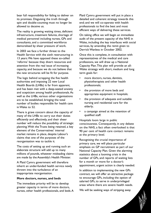bear full responsibility for failing to deliver on its promises. Disguising the truth through spin and double-counting must no longer be allowed to deceive us.

The reality is growing waiting times, deficient infrastructure, treatment failures, shortage of medical personnel including nurses, GPs and consultants, and a committed workforce demoralised by sheer pressure of work.

In 2003 we face a further threat to the Health Service with the sixth restructuring in 13 years.We have opposed these so-called 'reforms' because they divert resources and attention from the real issue of increasing capacity, and because we do not believe that the new structures will be fit for purpose.

The logic behind scrapping the five health authorities and imposing 22 new Local Health Boards (LHBs) is far from apparent, and has been met with a deep-seated anxiety and scepticism among health professionals.As well as the LHBs, various other organisations are to be established, bringing the total number of bodies responsible for health care in Wales to 52.

There is grave concern about the capacity of many of the LHBs to carry out their duties efficiently and effectively, and their sheer number will reduce the possibility of strategic planning.With the Trusts being retained, a key element of the Conservatives' internal market remains in place, despite Labour's claims that one of the purposes of the reorganisation was to tackle it.

The costs of setting up and running such an elaborate structure will add up to many millions of pounds, whatever misleading claims are made by the Assembly's Health Minister.

A Plaid Cymru government will therefore inherit an under-funded health service newly thrown into the turbulence of an inappropriate reorganisation.

#### **More doctors, nurses, and beds**

The immediate priority will be to develop greater capacity in terms of more doctors, nurses, other health professionals, and beds.A Plaid Cymru government will put in place a detailed and coherent strategy towards this end; and we will co-operate with health professionals to find the best and most efficient ways of delivering these services.

On taking office we will begin an immediate audit of the present capacity of the NHS in Wales, including the key interfaces with social services, by amending the remit given to Derrick Wanless in October 2002.

Once this is complete, in consultation with representatives of the medical and care professions, we will draw up a National Capacity Plan.This plan will provide an all-Wales strategy with short, medium and long term goals for:

- more doctors, nurses, dentists, physiotherapists and other health professionals;
- the provision of more beds and appropriate equipment in hospitals;
- the provision of adequate and suitable nursing and residential care for the elderly;
- a campaign aimed at the retention of qualified staff.

Hospitals loom large in public consciousness. Consequently, in any debate on the NHS, a fact often overlooked is that 90 per cent of health care contact remains at the primary level.

Recognising the crucial importance of primary care, we will place particular emphasis on GP recruitment as part of our National Capacity Plan. Given the alarming statistics about a looming crisis in the number of GPs, and reports of waiting lists for a month or more for a doctor's appointment, urgent action is clearly needed.

In addition to implementing the new GPs contract, we will offer an attractive package to encourage GPs, including the option of salaried GPs, to serve in underprivileged areas where there are severe health needs.

We will be seeking ways of stripping away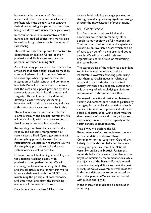bureaucratic burdens on staff. Doctors, nurses, and other health and social services professionals must be able to concentrate their time on caring for patients, rather than being tied down with unnecessary paperwork.

In consultation with representatives of the nursing and medical professions we will also be seeking imaginative and effective ways of skill-mixing.

This will not only free up time for doctors to concentrate on making full use of their professional skills, but also enhance the potential of trained nursing staff.

As well as being primary-led, Plaid Cymru has always insisted that health provision must be community-based in all its aspects.We wish to encourage, where appropriate, a fuller integration of health centres and community hospitals.We will also take steps to ensure that the care and support provided by social services is accessible in health centres and surgeries.This will be part of a drive to develop a closer working partnership between health and social services, and local authorities have a clear role to play in this.

The voluntary sector has a vital role, for example through the hospice movement.We will work closely with the sector to ensure that funding is predictable and stable.

Recognising the disruption caused to the NHS by the constant reorganisation of recent years, a Plaid Cymru government will do everything possible to avoid further restructuring. Despite our misgivings, we will do everything possible to make the new system work as well as possible.

However, we will be keeping a careful eye on the situation, working closely with professional and patient bodies.We will encourage collaboration among the LHBs, and the objective in the longer term will to integrate their work with the NHS Trusts, maintaining the principle of coterminosity, and thus move away from the remaining elements of the internal market.

Certain functions are best fulfilled at the

national level, including strategic planning and a strategy aimed at generating significant savings through the rationalisation of prescriptions.

# (c) Older People

It is fundamental and crucial that the enormous contribution made by older people to our society be fully recognised. Their accumulated wisdom and experience constitute an invaluable asset which can be of particular benefit to children and young people.We will work with relevant organisations to find ways of maximising this contribution.

The stereotyping of the elderly as dependent and infirm is unacceptable as well as inaccurate. However, advancing years bring with them particular needs in relation to care, and it is an indicator of a civilised society that these are properly catered for, if only as a way of acknowledging a lifetime's commitment to the welfare of others.

We regard the artificial distinction between nursing and personal care needs as particularly damaging. It can inhibit the provision of early medical intervention to prevent ill-health and possible hospitalisation. Quite apart from the sheer injustice of such a situation, it imposes unnecessary pressure on the capacity of the health service to treat patients.

That is why we deplore the UK Government's refusal to implement the key recommendation of its own Royal Commission on the Long-term Care of the Elderly: to abolish the distinction between nursing and personal care.The National Assembly, unlike the Scottish Parliament, currently lacks the powers to implement the Royal Commission's recommendations, while the injustice of the Barnett Formula would make it extremely difficult to meet the cost. A Party of Wales Government will press for both these deficiencies to be corrected so that older people in Wales can be treated with justice and dignity

In the meanwhile much can be achieved in other ways.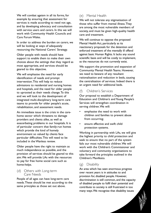We will combat ageism in all its forms, for example by ensuring that assessment for services is made according to need not age, and by developing advocacy and consultation with service users and carers. In this we will work with Community Health Councils and Care Forum Wales.

In order to address the burden on carers, we will be looking at ways of adequately resourcing the National Carers' Strategy.

Older people with needs should have support to enable them to make their own choices about the settings that they regard as most appropriate, and services should be geared to this objective.

We will emphasise the need for early identification of needs and prompt intervention.This will help to reduce admissions to residential and nursing homes and hospitals, and the need for older people to uprooted as their needs change.To this end we will look to the development of integrated multi-disciplinary long-term care teams to provide for older people's acute, rehabilitation, and assessment needs.

An immediate issue is the crisis in the carehome sector which threatens to damage providers and clients alike, as well as exacerbating problems in our hospitals. It is of particular concern that family-run homes which provide the kind of homely environment so valued by clients face particular difficulties.This will need to be included in the Wanless review.

Older people have the right to maintain as much independence as possible, and the provision of services should be geared to this aim.We will provide LAs with the resources to pay for free home social care such as home-helps.

#### (d) Others with Long-term Care Needs

People of all ages can have long-term care needs.These should be met according to the same principles as those set out above.

# (e) Mental Health

We will not tolerate any stigmatisation of those who suffer from mental illness.They are among the most vulnerable members of society, and must be given high-quality health care and treatment.

We will continue to oppose the proposed Mental Health Act, particularly as its reactionary proposals for the detention and enforced treatment of the mentally ill offend against basic Human Rights. It lacks any sound scientific basis and will be costly to implement, as the resources do not currently exist.

We support the promotion and expansion of Community Mental Health Teams. However, we need to beware of any resultant rationalisation and reduction in beds, causing the centralisation of services. Indeed there is an urgent need for additional beds.

# (f) Children's Services

Our proposal to establish a Department of Education and Children's and Young People's Services will strengthen coordination in serving children.We will:

- emphasise the need to work with children and families to prevent abuse from occurring;
- ensure effective and swift child protection systems.

Working in partnership with LAs, we will give the highest priority to child protection and seek to ensure that no part of the system fails our most vulnerable children.We will work with the Children's Commissioner and voluntary and community organisations to take forward the principles outlined in the Children's Manifesto.

# (g) Disability

An area which has seen enormous progress over recent years is in attitudes to and provision for, disabled people. However, discrimination is still common, and the capacity of disabled people to fulfil their potential and contribute to society is still frustrated in too many ways.We recognise that disability issues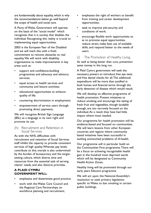are fundamentally about equality, which is why the recommendations below go well beyond the scope of health and social care.

A Party of Wales Government will operate on the basis of the "social model" which recognises that it is society that disables the individual. Recognising this reality is crucial to implementing equal opportunities.

2003 is the European Year of the Disabled and we will mark this with a fresh commitment to remove obstacles to real equality.We will work with disability organisations to make improvements in key areas such as:

- support and confidence-building programmes and advocacy and advisory services;
- equal access to health services and community and leisure activities;
- educational opportunities to enhance quality of life;
- countering discrimination in employment;
- empowerment of service users through promoting direct payments.

We will recognise British Sign Language (BSL) as a language in its own right and promote its use.

(h) Recruitment and Retention in Social Services

As with the NHS, difficulties with recruitment and retention of Social Services staff inhibit the capacity to provide consistent services of high quality.Whereas pay levels contribute to this, morale is also undermined by the burden of bureaucracy and the targetsetting culture, which diverts time and resources from the essential task of serving clients' needs, and also distorts priorities.

# **A PLAID CYMRU GOVERNMENT WILL:**

- emphasise and disseminate good practice;
- work with the Wales Care Council and the Regional Care Partnerships on workforce planning and recruitment;
- emphasise the right of workers to benefit from training and career development opportunities;
- seek to improve job-security and conditions of work;
- encourage flexible work opportunities so as to promote equal opportunities, reduce strain, make best use of available skills, and respond better to the needs of users.
- (i) The Promotion of Healthy Living

As well as being better than cure, prevention saves money in the long run.

A Plaid Cymru government will seek the necessary powers to introduce free eye tests and free dental checks for all.The additional expenditure will be more than justified in both human and financial terms through the early detection of disease which would result.

We will develop an effective programme of health promotion. Present initiatives to reduce smoking and encourage the eating of fresh fruit and vegetables, though laudable enough, are too narrowly focused on the individual.As a result they have had little impact where most needed.

Our programme for health promotion will be evidence-based and focused on communities. We will learn lessons from other European countries and regions where community based initiatives have been successful in tackling entrenched problems of ill-health.

Our programme will in particular build on the Communities First programme.There will be a focus on achieving recognisable health gain in the hundred most deprived wards which will be designated as Community Health Action Zones.

Healthy living will be promoted through our early years Educare programme

We will act upon the National Assembly's resolution to seek primary legislation specific to Wales to ban smoking in certain public buildings.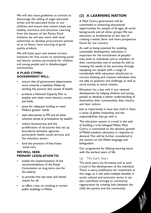We will also issue guidelines to schools to discourage the selling of sugar-saturated drinks and fat-saturated foods to our children, and ensure that school meals are healthy, nutritious and attractive. Learning from the lessons of the Powys Food Initiative we will also work with local authorities to develop procurement policies so as to favour local sourcing of good quality produce.

We will build upon and extend current initiatives for free access to swimming pools and leisure centres, particularly for children and young people and in disadvantaged communities.

#### **A PLAID CYMRU GOVERNMENT WILL:**

- ensure that all government departments work towards a healthier Wales by tackling the poverty that causes ill health;
- produce a National Capacity Plan to employ and retain more doctors, nurses and beds;
- press for adequate funding to meet Wales's greater needs;
- seek alternatives to PFI and all other schemes aimed at 'privatisation by stealth';
- reduce bureaucracy and the proliferation of structures that set up boundaries between agencies, particularly health, social services and the voluntary sector;
- fund the provision of free home social care.

## **WE WILL SEEK PRIMARY LEGISLATION TO:**

- enable the implementation of the recommendations of the Royal Commission on long term care for the elderly;
- to provide free eye tests and dental checks for all;
- to effect a ban on smoking in certain public buildings in Wales.

# **(2) A LEARNING NATION**

A Plaid Cymru government will be committed to enhancing educational opportunities for people of all ages, all social backgrounds and all ethnic groups.We see education as fundamental to the task of creating a better, fairer and more prosperous future for our country.

As well as being essential for enabling sustainable development, education is important for the enrichment of people's lives, both as individuals and as members of their communities and of society.As well as meeting the needs of the economy through equipping our people with a range of transferable skills, education should aim to nurture thinking and creative individuals who are able to question and challenge, as well as serve society as active citizens.

Education has a key role in our national development by helping children and young people to develop a better understanding of themselves, their communities, their history and their culture.

Just as importantly, it must also instil in them a sense of global citizenship and the responsibilities that go with it.

The education system is crucial in the task of building a truly bilingual Wales. Plaid Cymru is committed to the dynamic growth of Welsh-medium education in response to demand.This will be further considered in the section on the Welsh language and bilingualism.

Our programme for lifelong learning starts with the earliest years of life.

# (a) The Early Years

The early years are formative and as such crucial in the development of the individual. There is every justification for investment at this stage, as it will yield multiple benefits in social, cultural and economic terms. It can also contribute strongly to community regeneration by creating links between the child, the parent, and the community.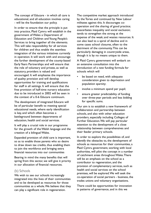The concept of Educare - in which all care is educational, and all education involves caring - will be the foundation our policy.

In order to ensure that the principle is put into practice, Plaid Cymru will establish in the government of Wales a Department of Education and Children and Young People's Services to bring together all the elements. This will take responsibility for all services for children and thus enable the seamless integration of the various initiatives currently in operation. It will work with and encourage the further development of the county-based Early Years Partnerships and will ensure that the role of voluntary and private, as well as statutory, providers is valued and encouraged. It will emphasise the importance of quality provision and will develop opportunities for training and qualifications for staff in all settings. It will ensure that the free provision of half-time nursery education due to be introduced in 2002 will be seen in the context of a 0-6 Educare continuum.

The development of integrated Educare will be of particular benefit to meeting special educational needs, where early identification is key, and which often becomes a battleground between departments of education, health and social services.

It will play a crucial role in our programme for the growth of the Welsh language and the creation of a bilingual Wales.

Expanded provision of child care is important, so as to enable those parents who so desire to draw down tax credits, thus enabling them to join the workforce and bringing extra financial resources into our communities

Bearing in mind the many benefits that will spring from this sector, we will give it priority in our allocation of financial resources.

#### (b) Schools

We wish to see our schools increasingly integrated into the lives of their communities and to be developed as resources for those communities as a whole.We believe that they can play a significant role in regeneration.

The competitive market approach introduced by the Tories and continued by New Labour militates against this. It discourages cooperation and the sharing of good practice; exacerbates inequality and social exclusion; tends to strengthen the strong at the expense of the weak; and wastes resources. It can also lead to a spiral of decline and in some cases school closures, often to the detriment of the community.This can be particularly damaging in countryside areas, though it is by no means unique to them.

A Plaid Cymru government will embark on an extensive consultation into the introduction of a new funding formula for schools which will

- be based on need, with adequate consideration given to deprivation and population sparsity;
- involve a minimum spend per pupil;
- ensure greater predictability of funding over three-year periods and less bidding for specific sums.

Our aim is to establish a new framework of collaboration and partnership between schools, and also with other education providers, especially including Colleges of Further Education.We will pay particular attention to the development of a close relationship between comprehensives and their feeder primary schools.

In order to explore the possibilities of, and identify the obstacles to, the development of schools as resources for their communities, a Plaid Cymru government, working with local authorities, will pilot the concept in a number of catchment areas throughout Wales.There will be an emphasis on the school as a contributor to regeneration, and the provision of complementary services, such as health and social services on the school premises, will be explored.We will seek the co-operation of social partners - business, the trades unions and voluntary organisations.

There could be opportunities for innovation in patterns of governance, and in this we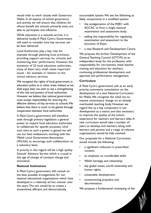would wish to work closely with Governors Wales. In all aspects of school governance and activity, we will ensure that children, for whose benefit the schools primarily exist, are able to participate and influence.

While education is a national service, it is delivered locally.A Plaid Cymru Government will need to consider how key services can be best delivered.

Local Authorities play a key role, for example through planning local provision; providing support services for schools; and monitoring their performance. However, the existence of 22 local education authorities, many of them very small, raises important issues - for example, in relation to the school advisory services.

We recognise the rights of local government in education policy as in other areas. Indeed, as we shall argue later, we wish to see a strengthening of the role and powers of local authorities. However we believe that national government must accept responsibility for ensuring the effective delivery of key services to schools.We believe that there is much to be gained through cooperation between local authorities.

A Plaid Cymru government will therefore seek through primary legislation a general power to require local education authorities to collaborate for specific purposes. Until such time as such a power is gained we will use our best endeavours, working with the Welsh Local Government Association (WLGA), to encourage such collaboration on a voluntary basis.

A priority in this regard will be a high quality Schools' Advisory Service which is crucial in this age of change of constant change and innovation.

#### **National Institutions**

A Plaid Cymru government will consult on the best possible arrangements for our national educational organisations which have developed in a relatively ad hoc manner over the years.The aim would be to create a streamlined, efficient and democratically

accountable system.We see the following as likely components in a modified system:

- the amalgamation of the WJEC with ACCAC to from a single national examination and assessment body.
- adding the responsibility for regulating examination and assessment to the functions of Estyn;
- a new Research and Development Centre.

We propose the further Development of the General Teaching Council (GTCW) as an independent body for the profession, with responsibility for recruitment, initial teacher training and education for teachers, continuing professional development, and appraisal and performance management.

#### **Curriculum**

A Plaid Cymru government will, as an early priority, commence consultation on the development of a new National Curriculum for Wales.We recognise the need not to impose unnecessary change on an already overloaded teaching body. However, we regard this as a key component in our development as a nation, and also necessary to improve the quality of the school experience for teachers and learners alike.A new curriculum would take a number of years to develop, and teachers, along with learners and parents and a range of relevant organisations, would be fully involved.

Our proposals for a National Curriculum would include the following:

- a significant reduction in prescribed content;
- an emphasis on transferable skills;
- Welsh heritage and citizenship;
- key global issues, world citizenship and human rights;
- sustainable development;
- counteracting prejudice and discrimination.

We propose a fundamental revamping of the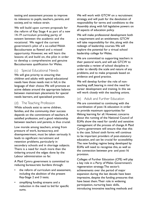testing and assessment process to improve its relevance to pupils, teachers, parents, and society, and to reduce strain.

We will build upon current proposals for the reform of Key Stage 4 as part of a new 14-19 curriculum providing parity of esteem between the academic and the vocational. We regard the current government's pilot of a so-called Welsh Baccalaureate as flawed and a missed opportunity. However, we will learn the lessons of, and build on, the pilot in order to develop a comprehensive and genuine Baccalaureate qualification for Wales.

(c) Special Educational Needs

We will give priority to ensuring that children and adults with special educational needs have those needs met in full, in the language of their choice.We will promote an active debate around the appropriate balance between mainstream placements for special needs learners, and specialised provision.

## (d) The Teaching Profession

While schools exist to serve children, families, and the community, their success depends on the commitment of teachers.A satisfied profession, and a good relationship between teachers and parents, is thus crucial.

Low morale among teachers, arising from pressure of work, bureaucracy, and disempowerment, must be taken seriously. It leads to significant recruitment and retention problems, particularly in secondary schools and in shortage subjects. There is a need for much more than the tinkering around the edges done by the Labour administration so far.

A Plaid Cymru government is committed to reducing bureaucratic burdens through:

- the reform of curriculum and assessment, including the abolition of the present Key-Stage 2 and 3 tests;
- simplifying funding streams and a reduction in the need to bid for specific sums.

We will work with GTCW on a recruitment strategy, and will push for the devolution of responsibility for terms and conditions to the Assembly along with full legislative powers on all aspects of education policy.

We will make professional development both a requirement and an entitlement. GTCW will take responsibility for this, along with the redesign of leadership courses.We will explore the potential for a virtual school leadership college for Wales.

We are committed to supporting teachers in their pastoral work, and will ask GTCW to undertake a review of school discipline in order to identify the scale and nature of any problems, and to make proposals based on evidence and good practice.

We will develop further the role of nonteaching staff, bearing in mind the need for career development and training. In this we will work closely with the teaching unions.

# (e) Adult and Further Education

We are committed to continuing with the coordination of post-16 education in order to provide maximum opportunities for lifelong learning for all. However, concerns about the running of the National Council of ELWa show the need for careful and sensitive management of the process of change.A Plaid Cymru government will ensure that that this is the case. School sixth forms will continue to be important providers of post-statutory education, and can be crucial for accessibility. The new funding regime being developed by ELWa will need to recognise this, as well as the connection between pre- and post-16 provision.

Colleges of Further Education (CFE) will play a key role in a Party of Wales Government's regeneration strategy.The sector's achievements over the period of major expansion during the last decade have been impressive, despite the funding pressures that have beset them.Their role in widening participation, nurturing basic skills, introducing innovative teaching methods and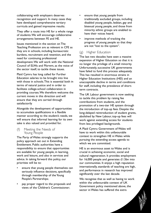collaborating with employers deserves recognition and support. In many cases they have developed comprehensive tertiary curricula and gained impressive results.

They offer a route into HE for a whole range of students.We will encourage collaborative arrangements between FE and HE.

Issues mentioned in the section on The Teaching Profession are as relevant in CFE as they are in schools, including bureaucratic burdens, recruitment and retention, and the need for continuing professional development.We will work with the National Council of ELWa and Fforwm, as the voice of the sector itself, to tackle these issues.

Plaid Cymru has long called for Further Education salaries to be brought into line with those in schools.This is essential both in terms of natural justice and in order to facilitate college-school collaboration in providing courses.We therefore welcome the current moves in this direction and will ensure that they are carried through satisfactorily

Alongside the development of opportunities to accumulate qualifications in a flexible manner according to the student's needs, we will ensure that informal learning for its own sake is also valued and provided for.

(f) Meeting the Needs of Young People

The Party of Wales strongly supports the policy approach set out in Extending Entitlement. Public authorities have a responsibility to ensure that opportunities are available for young people, in learning, work and leisure, and also in services and advice. In taking forward this policy, our priorities will be to:

- ensure that young people themselves can seriously influence decisions, specifically through membership of the Young People's Partnerships;
- pay proper regard to the proposals and views of the Children's Commissioner;
- ensure that young people from traditionally excluded groups, including disabled young people, lesbian, gay and bisexual young people, and those from minority ethnic groups are enabled to have their voices heard;
- improve methods of tracking the progress of young people so that they are not "lost to the system".

# (g) Higher Education

The last two decades have seen a massive expansion of Higher Education so that it is no longer the privilege of a small minority. Unfortunately, successive UK governments have failed to fund this process adequately. This has resulted in enormous strains in Higher Education Institutions (HEI) and an unacceptable decline in terms and conditions for staff, including the prevalence of shortterm contracts.

The UK Labour government is now seeking to tackle this problem by raising fee contributions from students, and the promotion of a two-tier HE system through the introduction of top-up fees. Despite the long-delayed reintroduction of student grants, abolished by New Labour, top-up fees will work against extending access for students from less privileged backgrounds.

A Plaid Cymru Government of Wales will have to work within this unfavourable context to strengthen HE in Wales while pursuing the extending access agenda to which we are committed.

HE is an enormous asset to Wales and is crucial in achieving economic, social and cultural regeneration. It provides employment for 16,000 people and generates £1.5bn into our communities. It enjoys a high reputation internationally, standards of teaching are high, and performance in research has improved significantly over the last decade.

We recognise that as well as having to work within the unfavourable context of UK Government policy mentioned above, the sector in Wales has suffered the extra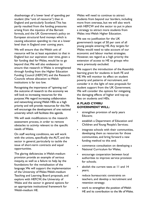disadvantage of a lower level of spending per student (the "unit of resource") than in England and particularly Scotland.This has partly resulted from the funding pressures arising from the injustice of the Barnett formula, and the UK Government's policy on European structural fund moneys which is causing education spending to rise at a lower level than in England over coming years.

We will ensure that the Welsh unit of resource will be at least equivalent to that in England but our aspiration over time, given a fair funding deal for Wales, would be to go beyond that.We will also endeavour to ensure that research in Wales is strengthened through funding from the Higher Education Funding Council (HEFCW) and the Research Councils whose allocation to Welsh institutions is far too low.

Recognising the importance of "spinning out" the outcome of research to the economy we will look to increasing resources for this purpose.We regard increasing collaboration and networking among Welsh HEIs as a high priority and will provide resources for this.We will encourage the development of one national university which will facilitate this agenda.

We will seek modifications to the research assessment process, in order to remove obstacles to activity relevant to the specific needs of Wales.

On staff working conditions, we will work with the unions, specifically the AUT, and the sector in general, particularly to tackle the issue of short-term contracts and equal opportunities.

The glaring deficiencies in Welsh-medium provision provide an example of serious inequity, as well as a failure to help lay the foundations for the revitalisation of the language.We will support the implementation of the University of Wales Welsh-medium Teaching and Learning Board proposals, and explore with HEFCW, the University of Wales and the sector in general options for an appropriate institutional framework for Welsh-medium HE.

Wales will need to continue to attract students from beyond our borders, including more from overseas, but we will also work with HEFCW and the sector to put in place a strategy to attract more students from Wales into Welsh Higher Education.

We see no justification for the UK government's target of 50 per cent of all young people entering HE.Any targets for Wales would need to take account of our economic and labour market strategies. However, we regard as a high priority the extension of access to HE to groups who were previously excluded.

We support the introduction of the Assembly learning grant for students in both FE and HE.We will monitor its effect on student poverty and patterns of recruitment, and consider it in the light of new proposals for student support from the UK Government. We will consider the options for mitigating the damaging effects of higher and top-up fees on students and HEIs.

#### **A PLAID CYMRU GOVERNMENT WILL:**

- strengthen provision of early years Educare;
- establish a Department of Education and Children and Young People's Services;
- integrate schools with their communities, developing them as resources for those communities, and bring forward a new funding method to this end;
- commence consultation on developing a National Curriculum for Wales;
- encourage cooperation between local authorities to improve service provision for schools;
- abolish the current tests at 11 and 14 years;
- reduce bureaucratic constraints on teachers, and develop a recruitment and retention strategy;
- work to strengthen the position of Welsh HE and its contribution to the life of Wales.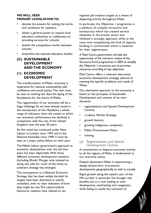## **WE WILL SEEK PRIMARY LEGISLATION TO:**

- devolve the powers for setting the terms and conditions for teachers;
- obtain a general power to require local education authorities to collaborate on providing services for schools;
- abolish the competitive market between schools;
- streamline the national education bodies;

# **(C) SUSTAINABLE DEVELOPMENT AND THE ECONOMY**

# **(1) ECONOMIC DEVELOPMENT**

The transformation of Wales' economy is imperative for national sustainability, selfconfidence and social justice.This task must be seen as nothing less than the laying of the foundations for the future of Wales.

The regeneration of our economy will be a huge challenge.As we have already noted in the introduction of this Manifesto, a whole range of indicators show the extent to which our economic performance has declined in comparison with the rest of the United Kingdom over the past 20 years.

As this trend has continued under New Labour in London since 1997 and in the National Assembly since 1999, it must be seen as a major policy failure on their part.

The Welsh Labour government's approach to economic development over the last four years has been deplorable.With three different economic development ministers (including Rhodri Morgan who insisted on doing two jobs for much of the time), no coherent strategy has emerged.

The consequence is a National Economic Strategy that has been widely derided. Its targets have been dismissed as utterly unrealistic, with no clear indication of how they might be met.The Labour-Liberal Democrat coalition have refused to set

regional job-creation targets as a means of dispersing activity throughout Wales.

In particular, the Objective 1 programme is a plethora of complex structures and bureaucracy which has created serious obstacles to the private sector and inhibited a strategic approach, while at the same time marginalising the kind of capacity building in communities which is essential for their regeneration.

A Plaid Cymru government will take the opportunity of the mid-term review of the Structural Fund programmes in 2003 to simplify the Objective 1 structures and re-prioritise resources according to key objectives.

Plaid Cymru offers a coherent alternative economic development strategy tailored to meeting the specific problems and needs of Wales.

Our alternative approach to the economy is based on the principles of Sustainable Development and consists of six main elements:

- regionalisation and Special Development Centres;
- a Labour Market Strategy;
- growth Sectors;
- growing indigenous companies;
- Public Procurement Policy;
- training.
- (a) Regionalisation and Special Development Centres

A commitment to disperse economic activity to all the regions of Wales is fundamental to our economic policy.

Despite devolution,Wales is experiencing a deeply divisive form of economic development, geographically as well as socially.

Rapid growth along the eastern part of the M4 corridor in particular has brought real benefits, but it is now leading to overdevelopment, overheating and congestion, while failing to tackle the exclusion of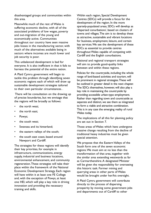disadvantaged groups and communities within this area.

Meanwhile much of the rest of Wales is suffering economic decline, with all of the associated problems of low wages, poverty and out-migration of the young and economically active. Communities throughout our country have seen massive jobs losses in the manufacturing sector, with much of the alternatives available being in sectors where incomes are much lower and job security is poor.

This unbalanced development is bad for everyone. It is also inefficient in that it fails to harness the potential of the entire nation.

A Plaid Cymru government will begin to tackle this problem through identifying seven economic regions each of which will draw up sustainable development strategies tailored to their own particular circumstances. .

There will be consultation on the drawing up of precise boundaries, but we envisage that the regions will be broadly as follows:

- the north west;
- the north east;
- Powys;
- the south west;
- Swansea and its hinterland;
- the eastern valleys of the south;
- the south east coast, based around Newport and Cardiff.

The strategies for these regions will identify their key priorities, for example in infrastructure, communications, energy supply, industrial and business locations, environmental enhancement, and community regeneration.These strategies will take their place within the framework of the National Economic Development Strategy. Each region will have within it at least one FE College and, with the exception of Powys, at least one HEI, which will play a key role in driving innovation and providing the necessary training and skills.

Within each region, Special Development Centres (SDCs) will provide a focus for the development of the region. In the more sparsely-populated areas, SDCs will develop as 'dispersed conurbations', based on clusters of towns and villages.The aim is to develop these as attractive, sustainable and vibrant locations for business, employment, leisure, and certain key services.We see the development of these SDCs as essential to provide centres throughout Wales capable of competing with Cardiff and the English conurbations.

National and regional transport strategies will aim to provide good-quality links between and within these regions.

Policies for the countryside, including the whole range of land-based activities and tourism, will be prominent in regional strategies.These will be outlined in greater detail in the next chapter. The SDCs themselves, however, will also play a key role in maintaining the countryside by providing accessible urban-type employment. Rather than regarding town and countryside as separate and distinct, we see them as integrated to form a viable and attractive combination. This is in any case the emerging reality of rural Wales today.

The implications of all this for planning policy are set out in Section 7.

Those areas of Wales which have undergone massive change resulting from the decline of traditional heavy industries must be given special attention.

We propose that the Eastern Valleys of the South form one of the seven economic regions.We must aim at no less than the transformation of that area, together with the similar area extending westwards as far as Carmarthenshire.A designated Minister will be given the responsibility for overseeing this historic task. Former mining and quarrying areas in other parts of Wales would be brought under her/his oversight.

A Plaid Cymru government will contribute directly to the process of dispersing prosperity by moving some government jobs and departments out of Cardiff to other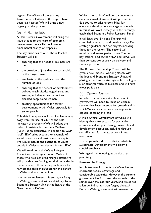regions.The efforts of the existing Government of Wales in this regard have been half-hearted.We will bring a new urgency to the process.

#### (b) A Plan for Jobs

A Plaid Cymru Government will bring the issue of jobs to the heart of economic development policy.This will involve a fundamental change of emphasis.

The key priorities of our Labour Market Strategy will be:

- ensuring that the needs of business are met;
- the creation of jobs that are sustainable in the longer term;
- emphasis on the quality as well the number of jobs;
- ensuring that the benefit of development policies reach disadvantaged areas and groups, including ethnic minorities, disabled people, and women;
- creating opportunities for career development within Wales, especially for young people.

This shift in emphasis will also involve moving away from the use of GDP as the sole indicator of prosperity.We will adopt the Index of Sustainable Economic Welfare (ISEW) as an alternative. In addition to GDP itself, ISEW takes account for example of social resources and environmental capital. We would include the retention of young people in Wales as an element in our ISEW.

We will work with the Wales Refugee Council on the integration into Wales of those who have achieved refugee status.We will provide core funding for their activities in this area where there are opportunities to harness the skills of refugees for the benefit of Wales and its communities.

In order to implement this strategy a Party of Wales government will establish a Jobs and Economic Strategy Unit at the heart of the Government of Wales.

While its initial brief will be to concentrate on labour market issues, it will proceed in due course to take responsibility for economic development strategy as a whole. In this, it will work closely with the recentlyestablished Economic Policy Research Panel.

It will have two divisions.The first will commission research and provide data, offer strategic guidance, and set targets, including those for the regions.The second will monitor and assess performance.The two key national bodies, the WDA and ELWa, will then concentrate entirely on delivery and service provision.

The Business Partnership Council will be given a new impetus, working closely with the Jobs and Economic Strategy Unit, and playing a much more strategic role. It will give a far stronger voice to business and will have fewer politicians.

# (c) Growth Sectors

In order to create sustainable economic growth, we will need to focus on certain sectors that have potential for growth and in which Wales has a natural advantage or is capable of taking the lead.

A Plaid Cymru Government of Wales will identify these key sectors for particular attention and support through research and development resources, including through our HEIs, and for the attraction of inward investment.

Those growth industries that contribute to Sustainable Development will enjoy a special emphasis.

We regard the following as particularly promising:

#### **Renewable Energy**

In this key area for the future Wales has an enormous natural advantage and considerable expertise. However the current government has frustrated the growth of the sector over the last four years, and Wales has fallen behind rather than forging ahead.A Party of Wales government will release the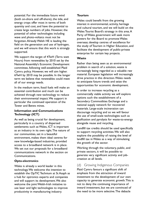potential. For the immediate future wind (both on-shore and off-shore), the tide, and energy crops offer most in terms of both quantity and cost, and have the potential to create large numbers of jobs. However, the potential of other technologies including wave and photo-voltaics must not be forgotten.Already Welsh HE is leading the field on the generation and use of hydrogen, and we will ensure that this work is strongly supported.

We support the target of 4TwH (Terra watt Hours) from renewables by 2010 set by the National Assembly's Economic Development committee, following well-established Plaid Cymru policy. However, we will aim higher. 6TwH by 2010 may be possible. In the longer term we believe that renewables could meet all of our energy needs.

In the medium term, fossil fuels will make an essential contribution and much can be achieved through new technology to reduce their environmental impact.We support in particular the continued operation of the Tower and Betws mines.

## **Information and Communications Technology (ICT)**

As well as being crucial for development, particularly in a country of dispersed settlements such as Wales, ICT is important as an industry in its own right.The nature of our communities, set in a beautiful environment, makes them ideal centres for new knowledge-based industries, provided access to a broadband network is in place. We set out our proposals for a broadband communications network in the section on Communications.

#### **Opto-electronics**

Wales is already a world leader in this technology.We welcome the intention to establish the OpTIC Technium at St Asaph as a hub for optronics experts and companies and will support its development.We also welcome the joint Welsh-Irish initiative to use laser and light technologies to improve productivity in manufacturing industry.

#### **Tourism**

Wales could benefit from the growing interest in environmental, activity, heritage and cultural tourism, and we will build on the Wales Tourist Board's strategy in this area. A Party of Wales government will seek more powers for the Board to promote Wales overseas; develop centres of excellence for the study of Tourism in Higher Education, and facilitate the development of public-private enterprise for certain key projects.

#### **Waste**

Rather than being seen as an environmental problem in search of a solution, waste is increasingly being regarded as a valuable raw material. European legislation will increasingly drive practice in this direction.Wales needs to anticipate future trends and seize the opportunities for economic development.

In order to increase recycling as a commercially viable activity we will explore options such the establishment of a Secondary Commodities Exchange and a national supply network for recovered materials. Large-scale incineration can discourage recycling and so we will favour the use of small-scale technologies such as gasification and pyrolysis for waste-to-energy alongside reuse and recycling.

Landfill tax credits should be used specifically to support recycling activities.We will also explore the possibility of raising the level of landfill tax in Wales as a way of stimulating the growth of the sector.

Working through the voluntary, public, and private sectors, it will be possible to generate very significant activity and jobcreation at all levels.

(d) Growing Indigenous Companies Plaid Cymru favours a significant shift of emphasis from the attraction of inward investment to the development of our own capacity to generate economic growth.This is not to deny the continuing importance of inward investment, but we are convinced of the need to be more selective.The debacle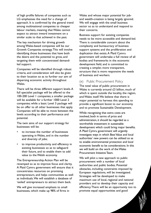of high profile failures of companies such as LG emphasises the need for a change of approach. It is confirmed by the general trend among multinational companies to cheaper labour markets, meaning that Wales cannot expect to attract inward investment on a similar scale to that achieved in the past.

The key mechanism for driving growth among Wales-based companies will be our Growth Companies strategy.This will involve identifying those businesses that have both the desire and the potential to grow, and targeting them with concentrated demandled support.

Companies will be identified through robust criteria, and consideration will also be given to their location so as to further our aim of dispersing economic activity throughout Wales.

There will be three different support levels.A full specialist package will be offered to the 100-200 Level 1 companies; a smaller package will be available for a further 1000 Level 2 companies; while a basic Level 3 package will be on offer to all other businesses that apply. Companies will be able to move between the levels according to their performance and potential.

The twin aims of our support strategy for businesses will be:

- to increase the number of businesses operating in Wales, and in the number and diversity of jobs;
- to improve productivity and efficiency in existing businesses so as to safeguard their future, and to enable them to add value to the Welsh economy.

The Entrepreneurship Action Plan will be revamped so as to improve focus and clarity. A Plaid Cymru government will ensure that it concentrates resources on promising entrepreneurs, and helps communities as well as individuals.We will establish a database of 'exiled' entrepreneurs to attract them back.

We will give increased emphasis to small businesses, which make up 98% of firms in Wales and whose major potential for joband wealth-creation is being largely ignored. We will engage with the small business sector so as to understand and respond to their concerns.

Business support for existing companies needs to be more accessible and demand-led. There is considerable concern about the complexity and bureaucracy of business support systems and the proliferation and duplication that exists.A Plaid Cymru government will undertake a full review of all bodies and frameworks in the economic development field, and is committed to creating a simpler, more transparent, structure that is more responsive the needs of business and workers.

## (e) Public Procurement Policy

The total value of public procurement in Wales is currently around £3 billion, much of which is spent outside the locality, the region, and Wales itself.We believe that there is major potential to harness this spending to provide a significant boost to our economy and to promote Sustainable Development.

While recognising that extra costs are involved, both in terms of price and administration, it should be regarded as a worthwhile investment in sustainable development which could bring major benefits. A Plaid Cymru government will urgently investigate ways in which Best Value and local authorities' new powers can be utilised so as to enable environmental protection and local economic benefit to be considerations. In this we will build on the work of the Wales Procurement Initiative Team.

We will pilot a new approach to public procurement with a number of local authorities and public bodies. Potential obstacles, including constraints imposed by European regulations, will be investigated. Strategies will be developed to make maximum use of local, regional and national providers and to develop their capacity and efficiency.There will be an opportunity too to promote equal opportunities and good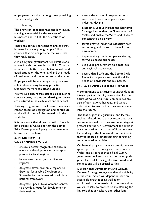employment practices among those providing services and goods.

(f) Training

The provision of appropriate and high-quality training is essential for the success of businesses and to fulfil the aspirations of workers.

There are serious concerns at present that in many instances young people follow courses that do not provide the skills that they really need.

A Plaid Cymru government will remit ELWa to work with the new Sector Skills Councils to achieve a better match between skills and qualifications on the one hand and the needs of businesses and the economy on the other.

Employers will be encouraged to play a key role in determining training priorities, alongside workers and trades unions.

We will also ensure that essential skills such as courtesy, being on time and thinking for oneself are nurtured in the early years and at school.

Training programmes should aim to eliminate gender-based job segregation and contribute to the elimination of discrimination in the workplace.

It is important that all Sector Skills Councils have offices in Wales, and that the Sector Skills Development Agency has at least one business adviser here.

# **A PLAID CYMRU GOVERNMENT WILL:**

- ensure a better geographic balance in economic development so as to spread prosperity to all regions;
- locate government jobs in different regions;
- designate seven economic regions to draw up Sustainable Development Strategies for implementation within a national framework;
- designate Special Development Centres to provide a focus for development in their regions;
- ensure the economic regeneration of areas which have undergone major industrial decline;
- establish a Labour Market and Economic Strategy Unit within the Government of Wales and enable the WDA and ELWa to concentrate on delivery;
- target growth industries, especially new technology, and those that benefit the environment;
- implement a growth companies strategy for Wales-based businesses;
- use public procurement to boost local and regional economies;
- ensure that ELWa and the Sector Skills Councils cooperate to meet the skills needs of individuals and businesses.

# **(2) A LIVING COUNTRYSIDE**

A commitment to a thriving countryside is an integral part of Plaid Cymru's vision for the future of Wales. Our rural communities are part of our national heritage, and we are determined to ensure that they are sustained into the future.

The loss of jobs in agriculture, and factors such as inflated house prices mean that rural communities feel that they are under siege at present For the UK Government the crisis in our countryside is a matter of little concern. Its handling of the Foot-and-Mouth epidemic showed its lack of understanding of farming and countryside realities.

We have already set out our commitment to spread prosperity throughout the whole of Wales, and as part of that a Plaid Cymru government will ensure that the countryside gets a fair deal. Ensuring effective broadband connections will be crucial to this.

Our Regional Development and Growth Centres Strategy recognises that the viability of the countryside will depend in part on accessible urban jobs as well as on traditional rural industries.At the same time we are equally committed to maintaining the key role that agriculture and other land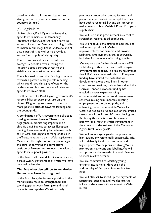based activities still have to play, and to strengthen activity and employment in the countryside itself.

# (a) Agriculture

Unlike Labour, Plaid Cymru believes that agriculture remains a fundamentally important industry, and the family farm its essential foundation.We need farming families to maintain our magnificent landscape and all that is part of it, as well as to provide a secure food supply of high quality.

The current agricultural crisis, with an average 35 people a week leaving the industry, poses a serious threat to the viability of countryside communities.

There is a real danger that farming is moving towards a pattern of large-scale ranching, which could have damaging effects on the landscape, and lead to the loss of priceless agriculture-linked skills.

It will be part of a Plaid Cymru government's responsibility to exert pressure on the United Kingdom government to adopt a more positive attitude towards farming and the countryside.

A combination of UK government policies is causing immense damage..There is the negligence in monitoring imports and a chronic unwillingness to access European funding. European funding for schemes such as Tir Gofal and organic farming ends up in the Treasury rather than in Welsh agriculture. Meanwhile the high level of the pound against the euro undermines the competitive position of farmers, and reduces the value of agricultural support payments.

In the face of all these difficult circumstances, a Plaid Cymru government of Wales will have two main objectives.

#### **The first objective will be to maximise the income from farming itsel**f.

In the first place, the farmer's position in the market place must be strengthened.The yawning gap between farm gate and retail prices is unacceptable.We will actively

promote co-operation among farmers and press the supermarkets to accept that they have both a responsibility and an interest in maintaining a robust Welsh, UK and European supply chain.

We will use public procurement as a tool to strengthen regional food producers.

We will redouble the efforts to add value to agricultural produce in Wales so as to improve returns for farmers and provide additional employment in the countryside, including for members of farming families.

We support the further development of Tir Gofal along with a broad and shallow agrienvironmental scheme.The reality, however, is that UK Government attitudes to European funding have limited the potential for development along these lines. In other countries and regions, such as Ireland and the German Länder, European funding has enabled a major expansion of agrienvironmental and other rural development schemes, raising farm incomes, creating employment in the countryside, and enhancing the environment. In Wales,Tir Gofal has had to be funded out of the limited resources of the Assembly's own block grant. Rectifying this situation will be a major priority for a Party of Wales government in the context of the reform of the Common Agricultural Policy (CAP).

We will encourage a greater emphasis on high-quality, environmentally sustainable, safe, animal-friendly food that can command higher prices.We help ensure strong Welsh promotion, marketing and labelling.We will also promote the growth of organic farming to meet market demand.

We are committed to assisting young entrants into farming. Here again the additionality of European funding is a key issue.

We will also act to speed up the payments of agricultural subsidies, and we deplore the failure of the current Government of Wales in this.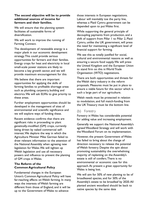#### **The second objective will be to provide additional sources of income for farmers and their families.**

We will ensure that the planning system facilitates all sustainable forms of diversification.

We will work to improve the running of Farming Connect.

The development of renewable energy is a major plank in our economic development strategy.This could provide serious opportunities for farmers and their families. Energy crops for heat and electricity in local small-scale power stations are likely to become a key growth sector, and we will provide maximum encouragement for this

We believe that there are important opportunities for applying the skills of farming families to profitable shortage areas such as plumbing, carpentry, building and electrics.We will ask ELWa to give priority to these areas.

Further employment opportunities should be developed in the management of sites of environmental and scientific significance and we will explore ways of funding these.

Recent evidence confirms that there are significant risks in proceeding to plant genetically-modified (GM) crops, currently being driven by naked commercial selfinterest.We deplore the way in which the Agriculture Minister Mike German failed to draw relevant information to the attention of the National Assembly when agreeing new legislation for Wales.We will tighten up Welsh legislation and use all necessary powers and influence to prevent the planting of GM crops in Wales.

# **The Reform of the Common Agricultural Policy**

Fundamental changes in the European Union's Common Agricultural Policy will have far-reaching effects on Welsh farming. In many ways the interests of Welsh farming are different from those of England, and it will be up to the Government of Wales to advance

those interests in European negotiations. Labour will inevitably toe the party line, whereas a Plaid Cymru government can be depended upon to put Wales first.

While supporting the general principle of decoupling payments from production, and a shift of support from Pillar 1 to Pillar 2, Plaid Cymru, unlike the UK government, will press the need for maintaining a significant level of financial support for farming.

We see this as totally justified for social, cultural and environmental reasons as well as ensuring a secure food supply.We will press the United Kingdom and the European Union to stand firm on this in World Trade Organisation (WTO) negotiations.

There are both opportunities and threats for the Welsh dairy industry in the reform proposals. Measures must be put in place to ensure a viable future for this sector which is such a large part of our agriculture.

Welsh needs must be protected in relation to modulation, and full match-funding from the UK Treasury must be the bottom line.

#### (b) Forestry

Forestry in Wales has considerable potential for adding value and increasing employment.

Generally we support the National Assembly's agreed Woodland Strategy and will work with the Woodland Forum on its implementation.

However, the present Government of Wales has failed to bring about the change of direction necessary to release the potential of Welsh forestry. Despite the spin about promoting sustainability the overwhelming majority of replanting on the Assembly's estate is still of conifers.There is no environmental or economic case for this approach.At present a great opportunity for Wales is being lost.

We will aim for 50% of new planting to be of broadleaved species, and for 50% of the Assembly's estate to be broadleaf by 2020.All planted ancient woodland should be back to native species by the same date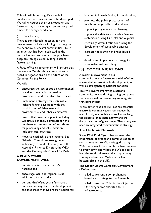This will still leave a significant role for conifers but new markets must be developed. We will encourage their use, together with forest waste, farm energy crops and recycled timber, for energy production.

# (c) Sea Fishing

There is considerable potential for the development of inshore fishing to strengthen the economy of coastal communities.This is an issue that has been neglected as the debate has concentrated on the problems of deep-sea fishing caused by long-distance factory farming.

A Party of Wales government will ensure that the voice of Welsh fishing communities is heard in negotiations on the future of the Common Fishing Policy.

We will:

- encourage the use of good environmental practice to maintain the marine environment and to restore fish stocks;
- implement a strategy for sustainable inshore fishing, developed with the participation of fishermen and environmental and fisheries experts;
- ensure that financial support, including Objective 1 money, is available for the purchase and renovation of vessels and for processing and value addition, including local markets;
- move to establish a single national Sea Fisheries Committee, strengthened sufficiently to work effectively with the Assembly Fisheries Division, the WDA and the Countryside Council for Wales.

# **A PLAID CYMRU GOVERNMENT WILL:**

- put Welsh interests first in CAP negotiations;
- encourage local and regional valueaddition to farm products;
- demand that Wales gets a fair share of European moneys for rural development, and that these moneys are truly additional;
- insist on full match funding for modulation;
- promote the public procurement of locally and regionally produced food;
- support young entrants to farming;
- support the shift to sustainable farming systems, including Tir Gofal and organic;
- encourage diversification, including the development of sustainable energy;
- increase the planting of broad-leaved trees;
- develop and implement a strategy for sustainable inshore fishing.

# **(3) COMMUNICATIONS**

A major improvement in our communications infrastructure within Wales is essential for sustainable development, as well as strengthening national cohesion.

This will involve improving electronic communications and safeguarding our postal services as well as developing an integrated transport system.

While better road and rail links are essential, electronic communications can reduce the need for physical mobility as well as enabling the dispersal of business activity and the decentralisation of government.That is why we need an integrated communications strategy.

# **The Electronic Network**

Since 1994, Plaid Cymru has stressed the importance of broadband communication to our national future.We envisaged that by 2002 there would be a full broadband service to every town and village and Wales could lead the world. However that opportunity was squandered and Wales has fallen to bottom place in the UK.

The Labour-Liberal Democrat Government of Wales have:

- failed to present a comprehensive broadband strategy to the Assembly;
- failed to use the £66m in the Objective One programme allocated to IT infrastructure;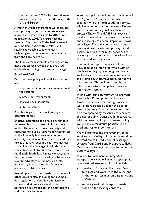set a target for 2007 which would leave Wales even farther behind the rest of the UK and Europe;

A Party of Wales government will therefore set a priority target of a comprehensive broadband service available to 90% of our population by 2008.To ensure that the system is "future-proof" the basic network must be fibre-optic, with wireless and satellite as valuable supplementary technologies to serve subscribers remote from the fibre network.

The funds already available are adequate to meet this target provided they are used efficiently according to an overall strategy.

#### **Road and Rail**

Our transport policy will be driven by the need:

- to promote economic development in all the regions;
- protect the environment;
- improve social inclusion;
- unite the nation.

A truly integrated transport strategy is essential for this

Effective integration can only be achieved if the Assembly has control of all transport modes.The transfer of responsibility and resources for our railways from Westminster to the Assembly is therefore an urgent necessity. It is also vital in order to avoid the threat of further cuts and yet more neglect arising from the Strategic Rail Authority's concentration of attention and resources on the English South-East. Unless we succeed in this the danger is that we will not be able to take full advantage of the new all-Wales franchise, gained as a result of constant pressure by Plaid Cymru.

We will press for the transfer of a range of other powers also, including for example bus regulation, the traffic commissioner, airport and air service development, powers on rail franchises and network rail, and port development

A strategic priority will be the completion of the "figure of 8" road network, which, together with the north-south rail service, will link together the four corners of Wales and so serve our regional development strategy.The A470 and A483 will receive particular attention to improve road safety, and reduce environmental impact on towns and villages.The reduction in north-south journey times is a strategic priority. Good quality links to the main UK network are obviously crucial for access to markets from the mid and western areas.

The public transport network will be developed as an integrated whole with an emphasis on high-quality long-distance as well as local bus services. Improvements to the North-South TrawsCambria service will be promoted.This will be backed by an effective one-stop-shop public transport information system.

In line with our commitment to promote Sustainable Development and move towards a carbon-free energy policy, we will explore possibilities for the use of alternative fuels. Road improvements will be accompanied by measures to facilitate the use of public transport. In accordance with our new public procurement policy we will make maximum possible use of local and regional contractors.

We will promote the improvement of rail services in the Valleys of the South and drive forward the re-introduction of passenger services from Cardiff and Newport to Ebbw Vale in order to help the revitalisation of the Eastern Valleys .

In order to implement an integrated transport policy we will need an appropriate organisational structure.This will include:

- a national Passenger Transport Board to direct and work with the SRA (and in the longer term assume its functions in Wales);
- statutory regional transport boards based on the existing consortia.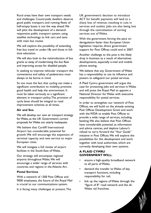Rural areas have their own transport needs and challenges. Countryside dwellers deserve good public transport, and running fleets of half-empty buses is not the way ahead.We will pilot the development of a demandresponsive public transport system, using satellite technology to link cars and taxis with main bus routes.

We will explore the possibility of extending free bus travel to under-18s and those in fulltime education.

We will also look to the reintroduction of bus grants as away of modernising the bus fleet and improving access for disabled people.

In seeking to improve vehicular transport the convenience and safety of pedestrians must always to be borne in mind.

So too must the fact that cycling can make a significant contribution to mobility, promote good health and help the environment. It must be taken seriously as a significant element in transport policy.The provision of cycle lanes should be integral to road improvement schemes at all times.

#### **Air and Sea**

We will develop our own air transport strategy for Wales, as the UK Government's current proposals for Wales are utterly inadequate.

We believe that Cardiff International Airport has considerable potential for growth.We will encourage the expansion of terminal capacity and new service to major European cities.

We will instigate a full review of airport facilities in the South-East of Wales.

Our strategy will encompass regional airports throughout Wales.We will encourage a wider range of services with countries and regions in the Atlantic Arc.

#### **Postal Services**

With a network of 1300 Post Offices and 9000 employees, the future of the Royal Mail is crucial to our communications system.

It is facing many challenges at present.The

UK government's decision to introduce ACT for benefit payments will lead to a sharp loss of revenue, resulting in cuts in services and outlets. Jobs are also being lost through the centralisation of sorting services out of Wales.

With the government forcing the pace on deregulation faster than European Union legislation requires, direct government support for Post Offices could end in 2007.

Another challenge to the post is the likely drop in business as a result of alternatives developments, especially e-mail and mobile phone texting.

We believe that any Government of Wales has a responsibility to use its influence and powers to safeguard our postal services.

A Plaid Cymru government will argue the case for protecting jobs and services in Wales and will press the Royal Mail to appoint a National Director for Wales with executive responsibility for postal services.

In order to strengthen our network of Post Offices, we will build on the already existing Post Offices Development Grant and work with the WDA to enable Post Offices to provide a wide range of services, including banking.We also believe that Post Offices have considerable potential as information and advice centres, and deplore Labour's refusal to carry forward the "Your Guide" initiative in Post Offices.We will explore the possibilities for this development and work together with local authorities, which are currently developing their own systems.

#### **A PLAID CYMRU GOVERNMENT WILL:**

- ensure a high-quality broadband network to all parts of Wales;
- demand the transfer to Wales of key transport functions, including responsibility for rail;
- link up the regions of Wales through the "figure of 8" road network and the all-Wales rail franchise;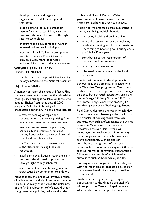- develop national and regional organisations to deliver integrated transport;
- pilot a demand-led public transport system for rural areas linking cars and taxis with the main bus routes through satellite technology;
- encourage the development of Cardiff International and regional airports;
- work with Royal Mail and development agencies to enable Post Offices to provide a wide range of services, including information and advice systems.

#### **WE WILL SEEK PRIMARY LEGISLATION TO:**

• transfer transport responsibilities including railways in Wales to the National Assembly.

# **(4) HOUSING**

A number of major challenges will face a Plaid Cymru government in ensuring that affordable good-quality housing is available for those who need it."Shelter" estimates that 250,000 people in Wales live in housing of unacceptable condition.The challenges include:

- a massive backlog of repair and renovation in social housing arising from lack of investment and mismanagement;
- low incomes and external pressures, particularly in attractive rural areas, causing house prices to rise well beyond what local people can afford;
- UK Treasury rules that prevent local authorities from raising funds for renovation;
- insufficient social housing stock arising in part from the disposal of properties through right-to-buy schemes;
- abandonment of social housing in some areas caused by community breakdown.

Meeting these challenges will involve a range of policy actions and significant investment. In this, as in so many other areas, the unfairness of the funding allocation to Wales, and other UK government policies, make tackling the

problems difficult.A Party of Wales government will however use whatever means are available in order to succeed.

In doing so we emphasise that investment in housing can bring multiple benefits:

- improving health and quality of life;
- reduced pressure on services including residential, nursing and hospital provision - according to Shelter, poor housing costs the NHS £50m a year;
- contributing to the regeneration of disadvantaged communities
- reducing social exclusion;
- job-creation and stimulating the local economy.

The link with economic development is obvious, as is the possibility of linkage with the Objective One programme. One aspect of this is the scope to promote home energy efficiency both through adaptation, using the Home Energy Efficiency Scheme (HEES) and the Home Energy Conservation Act (HECA), and through the use of building regulations

Plaid Cymru deplores the way in which New Labour dogma and Treasury rules are forcing the transfer of housing stock from local authority ownership, often against the wishes of tenants.Where such transfers are necessary, however, Plaid Cymru will encourage the development of communityowned organisations in which tenants are active participants. Such bodies can contribute to the growth of the social economy. Investment in housing must then be seen as integral to community regeneration, following the example of enlightened local authorities such as Rhondda Cynon Taf.

Housing renovation grants will be integrated with the regeneration process so as to gain the greatest benefit for society as well as the recipient.

Disabled facilities grants to give equal opportunities to the disabled are vital.We will support the Care and Repair scheme which enables older people to remain in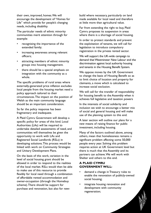their own, improved, homes.We will encourage the development of "Homes for Life" which provide for people's changing needs, including disability.

The particular needs of ethnic minority communities merit attention through for example:

- recognising the importance of the extended family;
- increasing awareness among relevant officers;
- attracting members of ethnic minority groups into housing management.
- there should be a special emphasis on integration with the community as a whole.

The specific problems of rural areas where externally-generated price inflation excludes local people from the housing market need a policy approach tailored to their circumstances.The impact on the position of Welsh as the main community language should be an important consideration.

So far the policy response has been fragmentary and inadequate.

A Plaid Cymru Government will develop a specific policy for areas of this kind. Local Authorities (LAs) will be required to undertake detailed assessments of need, and communities will themselves be given the opportunity to work with LAs and Registered Social Landlords (RSLs) in developing solutions.This process would be linked with work on Community Strategies and Unitary Development Plans.

On the basis of this work, variation in the level of social housing grant should be allowed in order to respond to the realities of the local market. RSLs would then be able to make use of this resource to provide flexibly for local need through a combination of affordable rented accommodation and owner-occupation (through the Homebuy scheme).There should be support for purchase and renovation, but also for newbuild where necessary, particularly on land made available for local need and therefore at little more than agricultural value.

Far from extending the right to buy, Plaid Cymru proposes its suspension in areas where there is a shortage of social housing.

In order to protect standards and prevent the exploitation of tenants, we will call for legislation to introduce compulsory registration in the private rented sector.

We will support the UK-wide campaign to demand that Westminster New Labour end the discrimination against local authority housing and tenants in the Housing Benefit System.

We oppose moves by the UK Government to change the basis of Housing Benefit so as to limit choice of location and property for claimants, a move which is calculated to increase social exclusion.

We will call for the transfer of responsibility for housing benefit to the Assembly when it achieves full legislative and taxation powers

In the interests of social solidarity and inclusion we wish to encourage a better mix of social and general housing and will make use of the planning system to this end.

A later section will outline our plans for a new means of raising finance for public investment, including housing.

Many of the factors outlined above, among others, mean that homelessness remains a significant problem affecting some 50,000 people every year. Solving this problem requires action at UK Government level but there is much that the Assembly and its partners can achieve.We will work with Shelter and others to this end.

## **A PLAID CYMRU GOVERNMENT WILL:**

- demand a change in Treasury rules to enable the renovation of publicly-owned social housing;
- integrate housing renovation and development with community regeneration;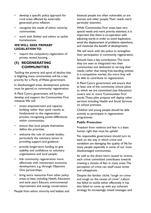- develop a specific policy approach for rural areas affected by externallygenerated price inflation;
- recognise the needs of ethnic minority communities;
- work with Shelter and others to tackle homelessness.

#### **WE WILL SEEK PRIMARY LEGISLATION TO:**

require the compulsory registration of private rented housing.

# **(5) REGENERATING COMMUNITIES**

Tackling the poverty and spiral of decline that is blighting many communities will be a key priority for a Party of Wales government.

In disadvantaged areas, development policies must be geared to community regeneration.

A Plaid Cymru government will further develop and support the Communities First initiative.We will:

- stress empowerment and capacitybuilding rather than quick results as fundamental to the regeneration process, recognising power-differences within communities;
- ensure that local people themselves define the priorities;
- welcome the role of outside bodies, particularly the voluntary sector in providing support and guidance;
- provide longer-term funding to give stability and confidence to voluntary organisations and local people;
- link community regeneration more effectively with mainstream economic development, e.g. through Objective One partnerships;
- bring extra resources from other policy areas to bear, including Health, Education and early years Educare, environmental improvement and energy conservation.

People from ethnic minority and lesbian and

bisexual people are often vulnerable, as are women and older people.Their needs merit particular attention.

While 'Communities First' areas have very special needs and merit priority attention, it is important that there is co-operation with adjoining wards in order to avoid duplication, avoid the displacement of problems elsewhere, and maximise the benefit of developments.

We will work with the police to strengthen their participation in community regeneration.

Schools have a key contribution.The more they are seen as integrated into their communities and dedicated to serving their needs, rather than being free-standing entities in a competitive market, the more they will be able to contribute to regeneration.

A Plaid Cymru government will ensure that at least one of the community school pilots to which we are committed (see Education) covers one or more 'Communities First' wards.These pilot projects will deploy other services including Health and Social Services on school premises.

Children and young people should be able actively to participate in regeneration programmes

#### **Public Protection**

Freedom from violence and fear is a basic human right that must be upheld

No responsible government should turn its back on the way in which crime and vandalism are damaging the quality of life for many people especially in some of our most disadvantaged communities.

As well as the direct harm caused to victims, each crime committed contributes towards creating a climate of fear in many areas.The perception of crime can itself cause stress and unhappiness .

Despite the familiar cliché,"tough on crime and tough on the causes of crime", Labour has failed to tackle either effectively. It has also failed to come up with any coherent strategy. Its increasingly mixed messages and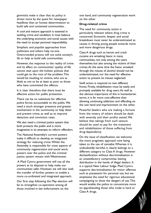gimmicks make it clear that its policy is driven more by the quest for newspaper headlines than an honest determination to build safe and contented communities. .

A cool and mature approach is essential in tackling crime and vandalism. It must balance the underlying economic and social causes with the need to accept personal responsibility.

Simplistic and populist approaches from politicians and others help no-one. Overcrowded prisons will not solve society's ills or help to build safe communities.

However, the response to the reality of crime and its effect on communities' quality of life cannot wait upon the holistic policies that could get to the root of the problem.This would be insulting to victims, who are as likely as not to be at least as poor as those who have committed the offence.

It is clear therefore that there must be effective action for public protection.

There can be no substitute for effective police forces accountable to the public.We need a much stronger presence and greater involvement in the community to help deter and prevent crime, as well as to improve detection and conviction rates.

We also need a criminal justice system that both protects the public and is more imaginative in its attempts to reform offenders.

The National Assembly's current powers make it difficult to develop an integrated strategy for reducing crime.Whilst the Assembly is responsible for most aspects of community regeneration and social work, powers over the police and the criminal justice system remain with Westminster.

A Plaid Cymru government will use all the powers at its disposal to help make our communities safer. However, we will also seek the transfer of further powers to enable a more co-ordinated and integrated approach.

Our first step following the May election will be to strengthen co-operation among all those involved in law enforcement on the

one hand, and community regeneration work on the other.

#### **Drug-related crime**

The need for community action is particularly relevant where drug crime is concerned. Economic despair and social breakdown must never be underestimated as causes in driving young people towards more and more dangerous drugs.

Class A drugs such as heroin and crack cocaine are wreaking havoc in many communities, not only among the users themselves but also among the victims of their crimes.At the same time the havoc wreaked through the misuse of alcohol should not be underestimated, nor the need for effective action to prevent its misuse neglected.

Swift action is required on two different fronts. Firstly, rehabilitation must be easily and promptly available for drug users.As well as the obvious importance of this in humanitarian terms, it is far more cost-effective than allowing continuing addiction and offending on the one hand and imprisonment on the other.

Powerful dealers who are making a fortune from the misery of others should be dealt with severely and their profits seized.We believe that takings from such seizure should be used to pay for the treatment and rehabilitation of those suffering from drug-dependency.

On the issue of classification, we welcome the more pragmatic approach now being taken to the use of cannabis.Whereas it is undoubtedly harmful, it clearly belongs to a different category to Class A drugs. However declassification without decriminalisation is an unsatisfactory compromise, leaving distribution in the hands of illegal dealers. It is a typical New Labour fudge. Plaid Cymru supports decriminalisation for minor offences such as possession for personal use, but we emphasise the need for vigorous educational campaigning to show the dangers of use.This would enable the police to concentrate more on apprehending those who trade in hard or Class A drugs.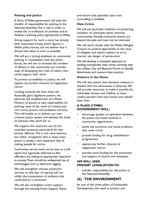#### **Policing and Justice**

A Party of Wales government will seek the transfer of responsibility for policing to the National Assembly.This is vital in order to enable the co-ordination of activities and to develop a policing policy appropriate to Wales.

Strong support for such a move has already been expressed among senior figures in Welsh police forces, and we believe that it should take place as soon as possible.

We will put a strong emphasis on community policing. In consultation with the police forces, we will aim to increase the numbers of officers in the community and consider ways of developing the roles of others who could support their work.

To protect accessibility to justice, we will oppose any further closures of magistrates courts.

Looking towards the time when the Assembly gains legislative powers, we advocate the establishment of a Wales Ministry of Justice to take responsibility for policing, most of the work of criminal and civil courts, prisons and probation services. This will enable us to fashion our own criminal justice system and develop the kinds of solutions that work for us.

We support the maximum use of noncustodial sentences particularly for less serious offences.This is not mere leniency, but rather recognition that in many cases prison is simply a very expensive way of making people far worse.

Community service must not be seen as a soft option but rigorously enforced so that offenders are making an appropriate reparation to society.There should be widespread use of technologies such as electronic tagging.

We will strengthen witness protection services so that fear of reprisal will not inhibit the presentation of evidence that could lead to a conviction.

We will also strengthen victim support through the existing Victim Support Teams and ensure that specialist rape crisis counselling is available.

#### **Hate Crime**

We will put particular emphasis on protecting members of vulnerable ethnic minority communities. Racially-motivated attacks are beyond the pale and must not be tolerated.

We will work closely with the Wales Refugee Council on positive approaches to the issue of refugees and asylum seekers so as to counter any danger of persecution.

We will develop a consistent approach to tackling homophobic hate crimes, working with the Lesbian, Gay and Bisexual Forum to identify, disseminate and resource best practice.

# **Violence in the Home**

We will also ensure that domestic violence is treated with the seriousness it deserves.We will provide resources to make it possible for vulnerable women and children to leave violent partners, find new homes and rebuild their lives.

## **A PLAID CYMRU GOVERNMENT WILL:**

- encourage greater co-operation between the police and those involved in community regeneration;
- tackle the economic and social problems that cause crime;
- provide funding for drug rehabilitation programmes;
- oppose any further closures of magistrates courts;
- provide more funding for the protection and support of victims and witnesses.

# **WE WILL SEEK PRIMARY LEGISLATION TO:**

• transfer responsibility for the police to the National Assembly.

# **(6) THE ENVIRONMENT**

As one of the three pillars of Sustainable Development, the need to protect and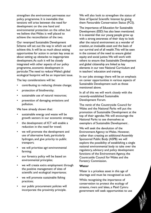strengthen the environment permeates our policy programme. It is inevitable that tensions will arise between the need for development on the one hand and environmental protection on the other, but we believe that Wales is well placed to achieve the reconciliation of the two.

Our revamped Sustainable Development Scheme will set out the way in which we will achieve this. It will be as much about seizing opportunities for action in certain key areas as about setting up obstacles to inappropriate development.As such it will be closely integrated with other aspects of our policy programme, economic development in particular.The need to reduce Wales's global ecological footprint will be an important issue.

The key considerations will be:

- contributing to reducing climate change;
- protection of biodiversity;
- sustainable use of natural resources;
- prevention of damaging emissions and pollution.

We have already shown that:

- sustainable energy and waste will be growth sectors in our economic strategy;
- the development of ICT will enable a reduction in the need for travel;
- we will promote the development and use of alternative fuels, particularly hydrogen, and give priority to public transport;
- we will prioritise agri-environmental farming;
- our forestry policy will be based on environmental principles;
- we will create extra employment through the positive management of sites of scientific and ecological importance;
- we will promote sustainable fishing practices;
- our public procurement policies will incorporate the proximity principle.

We will also look to strengthen the status of Sites of Special Scientific Interest by giving them Favourable Conservation Status (FCS).

The importance of Education for Sustainable Development (ESD) has also been mentioned. It is essential that our young people grow up with a strong awareness of their duty to look after the natural environment as a wonder of creation, an invaluable asset and the basis of our survival and of all wealth.This will be seen in the context of the need to ensure global equity and social justice.We will work with others to ensure that Sustainable Development and global citizenship are linked as key elements in our new National Curriculum and in teachers' education and training.

In our jobs strategy there will be an emphasis on career opportunities in various aspects of Sustainable Development such as those mentioned above.

In all of this we will work closely with the recently-established Sustainable Development Forum.

The remit of the Countryside Council for Wales and the National Parks will put the promotion of Sustainable Development at the top of their agendas.We will encourage the National Parks to see themselves as exemplars of Sustainable Development .

We will seek the devolution of the Environment Agency to Wales. However, rather than creating an additional Assembly Sponsored Public Body (ASPB) we will explore the possibility of establishing a single national environmental body to take over the regulatory, advisory and policy development functions of the Environment Agency, the Countryside Council for Wales and the Forestry Commission.

#### **Water**

Water is a priceless asset in this age of shortage and must be recognised as such.

While recognising the importance of conservation to protect the ecology of streams, rivers and lakes, a Plaid Cymru government will seek opportunities to use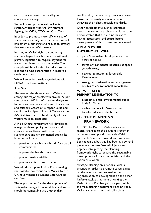our rich water assets responsibly for economic advantage.

We will draw up a new national water strategy, working with the Environment Agency, the WDA, CCW, and Glas Cymru.

In order to promote more efficient use of water use, especially in certain areas, we will implement a metering and reduction strategy that responds to Welsh needs.

Insisting on Wales' right to control any transfers beyond our borders, we will seek primary legislation to require payment for water transferred across the border.The receipts will be allocated to reduce water bills and to fund regeneration in reservoir catchment areas.

We will enter into early negotiations with OFWAT on these matters.

#### **The Sea**

The seas on the three sides of Wales are among our major assets, with around 70 per cent of our 1600 km of coastline designated for various reasons and 60 cent of our coast and offshore waters of European value and candidates for Special Area of Conservation (SAC) status.The rich biodiversity of these waters must be protected.

A Plaid Cymru government will develop an ecosystem-based policy for oceans and coasts in consultation with scientists, stakeholders and environmental bodies. Its intention will be to:

- provide sustainable livelihoods for coastal communities;
- improve the health of our seas;
- protect marine wildlife;
- promote safe marine activities.

We will draw up an Action Plan showing the possible contribution of Wales to the UK government document 'Safeguarding our Seas'.

The opportunities for the development of sustainable energy from wind, tide and waves should be compatible with, rather than

conflict with, the need to protect our waters. However, sensitivity is essential, as is achieving the highest possible standards.

Other developments such as aggregate extraction are more problematic. It must be demonstrated that there is no threat to marine ecosystems and coasts before developments of this nature can be allowed.

# **A PLAID CYMRU GOVERNMENT WILL**

- place Sustainable Development at the heart of policy;
- target environmental industries as special growth areas;
- develop education in Sustainable Development;
- strengthen designation and management of sites of environmental importance.

# **WE WILL SEEK PRIMARY LEGISLATION TO**

- establish a single environmental public body for Wales;
- enable payment for Welsh water transferred across the border.

# **(7) THE PLANNING FRAMEWORK**

In 1999 The Party of Wales advocated radical changes to the planning system in order to develop a distinctively Welsh approach. Some of those ideas have since been taken up, but this has been a slow and piecemeal process.We will inject new urgency into getting the planning framework right to ensure the sustainable development of our communities and the nation as a whole.

Strategic planning on a national level is essential in order to promote sustainability on the one hand, and to enable the regionalisation of development on the other. Unfortunately, at the time of writing the Wales Spatial Plan has yet to appear, while the main planning document Planning Policy Wales is cumbersome and still lacks a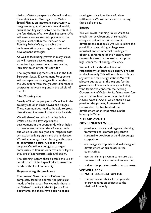distinctly Welsh perspective.We will address these deficiencies.We regard the Wales Spatial Plan as an important opportunity to integrate geographic, environmental, social, cultural and linguistic factors so to establish the foundations of a new planning system.We will ensure strong strategic planning at the regional level, within the framework of Planning Policy Wales, to enable the implementation of our regional sustainable development strategies.

As well as facilitating growth in many areas, we will restrain development in areas experiencing congestion and overheating, including much of the M4 corridor

The polycentric approach set out in the EU's European Spatial Development Perspective will underpin our strategies. It is notable that the UK suffers from the greatest difference in prosperity between regions in the whole of the EU.

#### **The Countryside**

Nearly 40% of the people of Wales live in the countryside or in small towns and villages. These communities need to be able to grow, diversify and innovate if they are to flourish.

We will therefore revise Planning Policy Wales so as to allow appropriate development in the countryside which helps to regenerate communities of low growth but which is well designed and respects both vernacular building styles and the landscape. We will encourage local planning authorities to commission design guides for this purpose.We will encourage urban-type enterprises to flourish on farms and villages if they are of appropriate scale and design.

The planning system should enable the use of certain areas of land specifically to meet the needs of the local community.

#### **Regenerating Urban Areas**

The present Government of Wales has completely failed to address the particular needs of urban areas. For example there is no "Urban" priority in the Objective One documents, and there have been no spatial

typologies of various kinds of urban settlements.We will set about correcting these deficiencies.

#### **Energy**

We will revise Planning Policy Wales to enable the development of renewable energy as set out in our economic development proposals.We will explore the possibility of requiring all large new industrial and commercial buildings to obtain a percentage of their energy from renewable resources as well as adopting high standards of energy efficiency.

We will call for the devolution of responsibility for large-scale energy projects to the Assembly.This will enable us to block any new nuclear energy stations.We will allocate quotas to all the regions for the generation of renewable energy including wind farms.We condemn the existing Government of Wales for its failure over four years to complete the work on Technical Advice Note (TAN) 8, which should have provided the planning framework for renewables.This has blocked the development of an important sunrise industry in Wales.

# **A PLAID CYMRU GOVERNMENT WILL:**

- provide a national and regional planning framework to promote polycentric sustainable development and discourage congestion;
- encourage appropriate and well-designed development of businesses in the countryside;
- use the planning system to ensure that the needs of local communities are met;
- address the planning needs of urban areas.

## **WE WILL SEEK PRIMARY LEGISLATION TO:**

• transfer responsibility for large-scale energy generation projects to the National Assembly.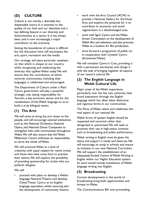# **(D) CULTURE**

Culture is not merely a desirable but dispensable luxury. It is essential to the quality of our lives and our identities and a key defining feature in our diversity and distinctiveness as a nation. It is has always been, and is now increasingly, a major contributor to the economy.

Setting the boundaries of culture is difficult but the discussion here will encompass the arts, sport, recreation and the media.

Our strategy will place particular emphasis on that which is unique to our country, while recognising and celebrating the diversity that typifies Wales today.We will ensure that the contribution of ethnic minority communities, including their languages, is celebrated and encouraged.

The Department of Culture under a Plaid Cymru government will play a powerful strategic role, taking responsibility for Tourism, a key economic sector, and for the revitalisation of the Welsh language so as to build a truly bilingual nation.

# **(1) The Arts**

We will strive to bring the arts closer to the people, and will encourage national institutions such as the National Orchestra, National Opera, and National Dance Companies to strengthen links with communities throughout Wales.We will also ensure that the Wales Millennium Centre embraces its responsibility to serve the whole of Wales.

We will promote Wales as a land of creativity, with equal respect for native artists and those who have come here to practise their talents.We will explore the possibility of providing sponsorship for artists who are political refugees.

We will:

• proceed with plans to develop a Welshlanguage National Theatre and develop Clwyd Theatr Cymru as its Englishlanguage equivalent, whilst ensuring also the development of community theatre;

- work with the Arts Council (ACW) to provide a National Gallery for the Visual Arts, and explore the potential for it to contribute to economic and social regeneration in a disadvantaged area;
- work with Sgrin Cymru and the Wales Screen Commission on the development of Welsh film and television, and also promote Wales as a location for film production;
- drive forward a programme of public art in cooperation with Cywaith Cymru (Artsworks Wales).

We will revitalise Cymru'n Creu, providing it with a permanent secretariat, and charge it with the task of bringing together all aspects of our nation's cultural life.

# **(2) The English Language in Welsh Cultural Life**

Major areas of the Welsh experience, particularly over the last two centuries, have found expression through the English language which has often taken distinctive and vigorous forms in our communities.

The Party of Wales values and celebrates this vital aspect of our national life.

Welsh forms of spoken English should be respected and nurtured rather than denigrated or patronised.We will seek to promote their use in high-status contexts such as broadcasting and public performance.

Welsh writing in English must be given the status and support it needs and deserves.We will encourage its study in schools and ensure its inclusion in our new National Curriculum. We will support the establishment of an adequately-funded Centre of Welsh Writing in English within our Higher Education system. Its work would include translations of Welshlanguage writing into English.

# **(3) Broadcasting**

Current developments in the world of broadcasting bring both opportunities and threats to Wales.

The Communications Bill now proceeding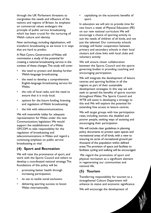through the UK Parliament threatens to marginalise the needs and influence of the nations and regions of Britain. Its emphasis on commercial values endangers the principle of public service broadcasting which has been crucial for the nurturing of Welsh culture and identity.

New technology, including digitalisation, will transform broadcasting as we know it in ways that are hard to predict.

A Plaid Cymru Government of Wales will commission a study of the potential for creating a national broadcasting service in the context of these changes.This study will cover:

- the need to protect and develop further Welsh-language broadcasting;
- the need to develop a comprehensive English-language broadcasting service for Wales;
- the role of local radio, and the need to ensure that it is truly local;
- options for the future funding, licensing and regulation of Welsh broadcasting;
- the link with telecommunications.

We will meanwhile lobby for adequate representation for Wales under the new Communications legislation.We would support the establishment of a Wales OFCOM to take responsibility for the regulation of broadcasting and telecommunications in Wales and regard a continuing emphasis on public service broadcasting as vital.

# **(4) Sport and Recreation**

We will raise the prominence of sport, and work with the Sports Council and others to develop a coordinated national strategy.The foundations of this policy will be:

- promoting better health through increasing participation;
- its use to tackle social exclusion;
- delivering sporting success to boost Wales internationally;

• capitalising on the economic benefits of sport.

In education we will aim to provide time for two hours a week of Physical Education (PE) on our new national curriculum.We will encourage a choice of sporting activity to suit the needs of children of all kinds, and not just the talented. Our community schools strategy will foster cooperation between primary and secondary schools in their local clusters and close links with local clubs and voluntary activity

We will ensure closer collaboration between the Sports Council and the sports governing bodies in providing coaching and encouraging participation.

We will integrate the development of leisure centres and sporting facilities in all the regions as part of their sustainable development strategies. In this way we will seek to spread the benefits of sports tourism throughout Wales.The Sports Council and WTB will assist in developing a strategy to this end.We will explore the potential for extending free access to leisure centres.

We will target groups with low participation rates, including women, the disabled and poorer people, seeking ways of assisting and encouraging their participation

We will include clear guidelines in planning policy documents to protect open spaces and recreational areas of all kinds, with a view to ensuring six acres of recreational ground per thousand of the population within defined areas.The provision of space and facilities to facilitate cycling and walking will be encouraged.

We regard the promotion of sport and physical recreation as a significant element in regenerating our communities and national life.

# **(5) Tourism**

Transferring responsibility for tourism to a strengthened Culture Department will enhance its status and economic significance.

We will encourage the development of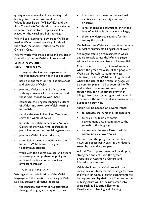quality environmental, cultural, activity and heritage tourism and will work with the Wales Tourist Board (WTB), WDA and the Arts Council (ACW) develop the workforce to serve these sectors. Emphasis will be placed on the visual and built heritage.

We will seek additional powers for WTB to market Wales abroad, working closely with the WDA, the Sports Council,ACW and Cymru'n Creu.

We will work with these bodies and the British Council to promote Welsh culture abroad.

## **A PLAID CYMRU GOVERNMENT WILL:**

- strengthen the Culture Department in the National Assembly to include Tourism;
- base our approach on the distinctiveness and diversity of Wales;
- promote Wales as a land of creativity with equal respect for native artists and those who choose to work here;
- celebrate the English-language culture of Wales and promote Welsh writing in English;
- require the new Millennium Centre to serve the whole of Wales;
- facilitate the establishment of a National Gallery of the Visual Arts, preferably as part of economic and social regeneration;
- promote Welsh film and theatre;
- commission a study of options for the future of Welsh broadcasting and telecommunications;
- work with the Sports Council and others to develop a comprehensive policy for increased participation in sport and physical recreation.

#### (E) A BILINGUAL WALES

We regard the revitalisation of the Welsh language and the creation of a bilingual Wales as a key strategic objective because:

• the language, and what it has expressed through the ages, is a unique treasure;

- it is a key component in our national identity and our society's cultural diversity;
- it has enormous potential to enrich the lives of individuals and society at large;
- there is widespread support for this among the people.

We believe that Wales can, over time, become a model of sustainable bilingualism at work.

We regard creating circumstances in which people are able to use the Welsh language without hindrance as an issue of Human Rights.

Our vision is of a truly bilingual society where the great majority of the people of Wales will be able to communicate effectively in both Welsh and English, and where the use of the Welsh language will be commonplace in all aspects of life.To realise that vision, we will need to plan strategically for a continual growth in bilingualism over several generations until it becomes the norm, as it is in many other European countries.

Action will be needed on several fronts:

- to increase the number of its speakers;
- to ensure suitable economic development that is conducive to the growth of the language;
- to promote the use of Welsh within communities all over Wales.

We welcome the progress that has been made on a cross-party basis in the National Assembly over the past year.

A Plaid Cymru government will build upon, strengthen and act upon the agreed proposals of Assembly's Culture and Education committees.

While the Ministry of Culture will have overall responsibility for the strategy to revive the Welsh language, all other departments will be required to play their part.The promotion of bilingualism will be mainstreamed into areas such as Education, Economic Development, Planning and Housing.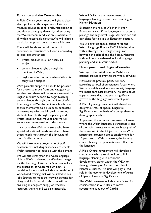#### **Education and the Community**

A Plaid Cymru government will give a clear strategic lead in the expansion of Welshmedium education at all levels, responding to but also encouraging demand, and ensuring that Welsh-medium education is available to all within reasonable distance.We will place a particular emphasis on early years Educare.

There will be three broad models of provision, but variations will occur according to local circumstances:

- Welsh-medium in all or nearly all subjects;
- some subjects taught through the medium of Welsh;
- English-medium schools where Welsh is taught as a subject.

With parental support it should be possible for schools to move from one category to another; and there will be encouragement for English-medium schools to begin teaching some subjects through the medium of Welsh. The designated Welsh-medium schools have shown themselves to be uniquely successful in developing effective bilingualism among students from both English-speaking and Welsh-speaking backgrounds and we will encourage the expansion of this sector.

It is crucial that Welsh-speakers who have special educational needs are able to have those needs met through the language of their families' choice

We will introduce a programme of staff development, including sabbaticals, to enable Welsh education to keep up with the demand.

We will also strengthen the Welsh-language Unit in ELWa to develop an effective strategy for the teaching of Welsh for Adults as well as the expansion of Welsh-medium post-16 provision. Its work will include the provision of work-based training that will be linked to our Jobs Strategy to meet the growing demand for bilingual skills. Essential to this task will be ensuring an adequate supply of teachers, lecturers, trainers and teaching materials.

We will facilitate the development of language-planning research and teaching in Higher Education

Expanding the role of Welsh in Higher Education is vital if the language is to acquire prestige and high-level usage.We have set out our plans for this in our Education section.

We will provide special support for the Welsh Language Board's TWF initiative, along with a strategy for strengthening links between the school and the home. Mentrau laith will be strengthened as local language planning and animateur bodies.

#### **Development and Regional Variation**

We regard the revitalisation of Welsh as a national project, relevant to the whole of Wales.

However, the practical policy will vary according to local circumstances.Areas where Welsh is widely used as a community language will merit particular attention.The same could apply to areas that have seen a significant growth of the language over recent years.

A Plaid Cymru government will therefore designate Areas of Special Linguistic Significance on the basis of a comprehensive demographic analysis.

At present, the economic weakness of areas where the Welsh language is strongest is one of the main threats to its future. Nearly all of these are within the Objective 1 area.With agriculture providing direct employment for 10 per cent of Welsh speakers, the farming crisis is having a disproportionate effect on the language.

A Plaid Cymru government will develop a special unit whose remit will be to link language planning with economic development, either within the WDA or through developing further the role of Menter a Busnes.This unit will play a lead role in the economic development of Areas of Special Linguistic Significance.

The Welsh language will also be a factor for consideration in our plans to move government jobs out of Cardiff.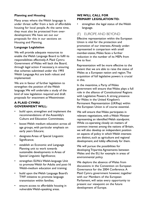## **Planning and Housing**

Many areas where the Welsh language is under threat suffer from a lack of affordable housing for local people.At the same time, they must also be protected from overdevelopment.We have set out our proposals for this in our sections on Housing and Planning.

#### **Language Legislation**

We will provide adequate resources to enable the Welsh Language Board to fulfil its responsibilities effectively.A Plaid Cymru Government of Wales will back the Board, through legal action if necessary, in ensuring that schemes submitted under the 1993 Welsh Language Act are both robust and implemented.

We are in favour of further legislation to strengthen the position of the Welsh language.We will undertake a study of the kind of new legislation required and draft proposals for enactment at Westminster.

## **A PLAID CYMRU GOVERNMENT WILL:**

- build upon, strengthen and implement the recommendations of the Assembly's Culture and Education Committees;
- boost Welsh medium education across all age groups, with particular emphasis on early years Educare;
- designate Areas of Special Linguistic Significance;
- establish an Economic and Language Planning unit to work towards sustainable developments in Areas of Special Linguistic Significance;
- strengthen ELWa's Welsh-language Unit to promote Welsh for Adults and post-16 Welsh-medium education and training;
- build upon the Welsh Language Board's TWF initiative to promote language transmission within families;
- ensure access to affordable housing in vulnerable Welsh-speaking areas.

## **WE WILL CALL FOR PRIMARY LEGISLATION TO:**

strengthen the legal status of the Welsh language.

# (F) EUROPE AND BEYOND

Effective representation within the European Union is vital for the protection and promotion of our interests.Already underrepresented in comparison with small member-states,Wales faces a further reduction in the number of its MEPs from five to four.

Representation will be more effective to the extent that we are able to raise the status of Wales as a European nation and region.The acquisition of full legislative powers is crucial in this.

In the meantime, a Party of Wales government will ensure that Wales plays a full role in the alliance of Constitutional Regions with Legislative Powers. A strong presence for Wales in the United Kingdom's Permanent Representation (UKRep) within the European Union is of course essential.

We will ensure that Wales participates in relevant negotiations, with a Welsh Minister representing an identified Welsh standpoint. While co-operating closely on matters of common interest among the nations of Britain, we will also develop an independent position on aspects of policy in which Welsh interests are distinct, such as agriculture and regional development, and lobby effectively for them.

We will pursue the possibilities for developing Tripartite Agreements between Wales and the EU, for example in areas of environmental policy.

We deplore the absence of Wales from discussions in the Convention on European Governance for the 2004 Conference.A Plaid Cymru government however, together with our Members of the European Parliament, will seize every opportunity to present our viewpoint on the future development of Europe.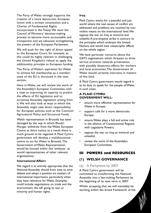The Party of Wales strongly supports the creation of a more democratic European Union with a written constitution and a Charter of Fundamental Rights incorporated in the Treaty.We want the Council of Ministers' decision-making process to become more accountable and transparent, and we advocate strengthening the powers of the European Parliament.

We will push for the right of direct appeal to the European Court, for example, as this could be highly relevant in challenging the United Kingdom's refusal to apply the additionality principle to European funding.

The Party of Wales's aspiration for Wales to achieve full membership as a memberstate of the EU is discussed in the next section.

Here in Wales, we will review the work of the Assembly's European Committee with a view to improving its capacity to predict the effects of EU legislation and to scrutinise Assembly legislation arising from it.We will also look at ways in which the Assembly might take direct responsibility for European policies such as the Common Agricultural Policy and Structural Funds.

Welsh representation in Brussels has been damaged by the way in which Rhodri Morgan withdrew from the Wales European Centre at short notice; as a result there is much ground to be regained.A Plaid Cymru government will develop a multifunctional centre to act for Wales in Brussels.The Government of Wales Representation would be housed within this 'embassy', as would representatives of other relevant organisations.

#### **International Affairs**

We regard it as entirely appropriate that the National Assembly should from time to time debate and adopt a position on matters of international importance, particularly when they have relevance for Wales. Examples could include negotiations on trade and the environment, the UK going to war, or minority and human rights.

#### **Iraq**

Plaid Cymru works for a peaceful and just world where the real causes of conflict are addressed and problems are resolved by nonviolent means on the international level.We oppose the war on Iraq as immoral and unlawful.A pre-emptive strike is contrary to the principles which underpin the United Nations and would have catastrophic effects on the whole region.

We have particular concerns about the GATS negotiations which threaten to drive service provision towards privatisation with possibly disastrous effects for workers and local economies.The Government of Wales should certainly intervene in matters of this kind.

A Plaid Cymru government would regard it as its duty to speak for the people of Wales in such cases.

#### **A PLAID CYMRU GOVERNMENT WILL:**

- ensure more effective representation for Wales in Europe;
- support calls for a more democratic Europe;
- ensure Wales plays a full and active role in the alliance of Constitutional Regions with Legislative Powers;
- oppose the war on Iraq as immoral and unlawful;
- review the work of the Assembly's European Committee;

# **III POWERS and RESOURCES**

# **(1) WELSH GOVERNANCE**

# (a) A Parliament by 2007

A Plaid Cymru government will be committed to transforming the National Assembly into a law-making Parliament by the beginning of its next term in 2007.

Whilst accepting that we will inevitably be working within the broad framework of the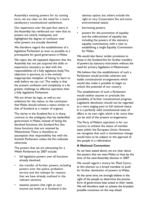Assembly's existing powers for its coming term, we are clear on the need for a more satisfactory constitutional settlement.

Our experience over the past four years in the Assembly has reinforced our view that its powers are utterly inadequate, and highlighted the degree of confusion over what powers are actually devolved.

We therefore regard the establishment of a legislative Parliament as soon as possible as a prerequisite for good governance in Wales.

We reject the oft-repeated objection that the Assembly has not yet acquired the skills or experience necessary to deal with the responsibilities of a fully legislative body.The objection is spurious, as is the entirely inappropriate metaphor of having 'to learn to walk before we can run'.The reality is that the present confusion and complexity is a far greater challenge to effective operation than a fully legislative Parliament.

We are driven by logic, as well as our ambitions for the nation, to the conclusion that Wales should achieve a status similar to that of Scotland as a matter of urgency.

The clarity in the Scotland Act is in sharp contrast to the ambiguity that has bedevilled government in Wales. Instead of listing the devolved functions, the Scotland Act lists those functions that are retained by Westminster.There is therefore an assumption that responsibility lies with the Scottish Parliament unless the Act indicates otherwise.

The powers that we are advocating for a Welsh Parliament by 2007 include:

- full legislative powers over all functions already devolved;
- the transfer of further powers, including powers over the police, probation service and the railways for reasons that we have already outlined in the relevant sections;
- taxation powers (the right to vary income tax levels as in Scotland is the

obvious option, but others include the right to vary Corporation Tax and some environmental taxes);

- borrowing powers;
- powers for the promotion of equality and the enforcement of equality law, including the powers of the statutory equality commissions, with a view to establishing a single Equality Commission for Wales.

We would also favour similar provisions to those in the Scotland Act for further transfers of powers by statutory instrument without the need for primary legislation in Westminster.

We believe that the establishment of such a Parliament would provide coherent and stable constitutional arrangements which would also make it possible to begin to unlock the potential of our country.

The establishment of such a Parliament would neither assume or preclude the possibility of further constitutional progress. Legislative devolution should not be regarded as a mere staging post to full national status. It is a perfectly valid constitutional state of affairs in its own right, which is far more than can be said of the present arrangements.

The Party of Wales's aspiration is for our country to achieve the status of member state within the European Union. However, we recognise that such a momentous change would have to be subject to the approval of the people in a referendum.

#### **A National Convention**

As we have stated above, we are clear about the powers that we want Wales to have by the time of the next Assembly election in 2007.

We would regard a victory for Plaid Cymru at this election as a broad mandate to push for further devolution of powers to Wales.

At the same time, we strongly believe in the right of the people to determine the precise form of government best suited to their needs. We will therefore seek to achieve the broadest possible consensus on the way ahead.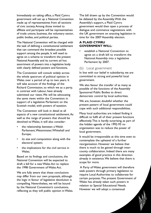Immediately on taking office, a Plaid Cymru government will set up a National Convention made up of representatives from all sections of civic society.Among those invited to affiliate and participate will be representatives of trade unions, business, the voluntary sector, public bodies, and political parties.

The National Convention will be charged with the task of defining a constitutional settlement that can command the broadest possible support among the people. It will need to agree on a scheme to transform the present National Assembly and its current ad hoc assortment of powers into a legislative body with clearly defined powers and functions.

The Convention will consult widely across the whole spectrum of political opinion in Wales over a period of up to two years. It will take account of the findings of the Richard Commission, to which we as a party, in contrast with Labour, have already submitted our views.We will be advocating the same views within the Convention: in support of a legislative Parliament on the Scottish model, with powers of taxation.

The Convention will look in detail at all aspects of a new constitutional settlement.As well as the range of powers that should be devolved to Wales, it will also consider:

- the relationship between a Welsh Parliament,Westminster,Whitehall and Europe;
- its size and composition along with the electoral system;
- the implications for the civil service in Wales.

Based on its findings and conclusions, the National Convention will be expected to draft a bill for a new Wales Act to replace the 1998 Government of Wales Act.

We are fully aware that these conclusions may differ from our own proposals, although the logic in favour of legislative devolution is compelling. Nevertheless, we will be bound by the National Convention's conclusions, reflecting as they will public opinion in Wales. The bill drawn up by the Convention would be debated by the Assembly.With the Assembly's support, a Plaid Cymru government would then open a process of dialogue and commence negotiations with the UK government on enacting legislation in time for the 2007 Assembly election.

# **A PLAID CYMRU GOVERNMENT WILL:**

establish a National Convention to agree on a draft bill to transform the National Assembly into a legislative Parliament by 2007.

## (b) Local government

In line with our belief in subsidiarity, we are committed to strong and powerful local government.

We also favour the transfer of as many as possible of the functions of the Assembly Sponsored Public Bodies to direct democratic control by local authorities.

We are, however, doubtful whether the present pattern of local government could cope with such additional responsibilities.

Many local authorities are indeed finding it difficult to fulfil all of their present functions effectively.This is hardly surprising, as part of the hidden agenda of the 1992-93 reorganisation was to reduce the power of local government.

It would be irresponsible at this time even to contemplate the upheaval of a further reorganisation. However we believe that there is much to be gained through intercounty collaboration. Indeed there are many examples of good practice in this direction already in existence.We believe that there is scope for more.

A Party of Wales government will therefore seek powers through primary legislation to require Local Authorities to collaborate for certain purposes.The present Government of Wales has already taken such powers in relation to Special Educational Needs. However we will adopt a consensual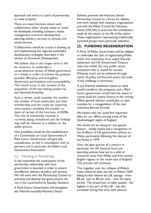approach and work in a spirit of partnership to make progress.

There are many functions where such collaboration either already exists or could be developed, including transport, waste management, economic development, planning, advisory services to schools, and social services.

Collaboration would be crucial in drawing up and implementing the regional sustainable development strategies described in the section on Economic Development.

We believe that in the longer term it will be necessary to undertake a comprehensive review of Welsh governance as a whole in order to achieve the greatest possible efficiency and strengthen democratic participation and accountability. This would occur in the context of the acquisition of full law-making powers by the National Assembly.

Such a review could consider the number the number of local authorities and their membership and the scope for acquiring extra powers including the transfer to them of certain of the functions of ASPBs. The role of community councils is currently being considered and the findings may well be relevant to a debate on the wider picture.

One possibility would be the establishment of a Commission on Local Government.A Plaid Cymru Government will give due consideration to this in consultation with its partners, and in particular the Welsh Local Government Association.

# (c) Working in Partnership

In the meanwhile the continuation of the partnership relationship with local government is essential in order to ensure the effective delivery of policy and services. We will work with the Partnership Council to promote and develop the good practice set out in the Local Authority Equality Standard.

A Plaid Cymru Government will strengthen the National assembly Voluntary Sector

Scheme, promote the Voluntary Sector Partnership Council as a forum for debate, and work closely with voluntary organisations and with the Wales Council for Voluntary Action (WCVA) to promote the contribution made by the sector to the life of the nation. Those organisations representing traditionally excluded groups merit particular attention.

# **(2) FUNDING REGENERATION**

A Party of Wales Government will be obliged to undertake the task of regenerating Wales within the constraints of an unjust financial settlement and UK Government Treasury rules that inhibit the very public sector investment that is crucial for success. Whereas much can be achieved through clarity of policy and focused action, the scale of the challenge is enormous.

A just financial settlement based on need would transform the prospects, and a Plaid Cymru government would lead the nation in a great push for justice.Victory in the coming Welsh general election would give us clear mandate for a renegotiation of the now notorious Barnett formula.

We believe that we could find important allies for our efforts among some of the disadvantaged region of England.

We would not be asking for any special favours - simply justice and a recognition of the ill-effects of UK government policies on Wales, particularly following the election of the Tories in 1979.

Over the past quarter of a century in particular, the UK financial, fiscal and spending policies have led to a shift of resources away from Wales and from poorer English regions to the south east of England. This process still continues.

This, together with the collapse of Wales's heavy industrial base, has led to Wales's GDP falling further behind the UK average - from 88 per cent to 80 per cent - over the same period .The proportion of older people - the highest in any part of the UK - has also increased during that time, with obvious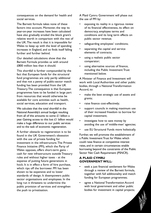consequences on the demand for health and social services.

The Barnett formula takes none of these factors into account. Moreover, the way its year-on-year increases have been calculated have also gradually eroded the block grant's relative worth in comparison with the rest of the UK.The result is that it is impossible for Wales to keep up with the level of spending increases in England, and so finds itself falling further and further behind.

Our detailed calculations show that the Barnett Formula provides us with around £800 million less than it should.

This shortfall is further compounded by the fact that European funds for the structural fund programmes are only partly additional and that not a penny of public-sector match funding has been provided from the UK Treasury.The consequence is that European programmes have to be funded in large part from resources that would otherwise be available for core activities such as health, social services, education and transport.

We calculate that the total shortfall in the National Assembly's annual budget resulting from all of this amounts to some £1 billion a year. Gaining access to this lost £1 billion would make a huge difference to our public services and to the task of economic regeneration.

A further obstacle to regeneration is to be found in the UK Government's obsession with the use of private funding for investment in the infrastructure.The Private Finance Initiative (PFI), which the Party of Wales opposes, offers short-term gains cash for new infrastructure outside Treasury rules and without higher taxes - at the expense of putting future generations in hock. It is in effect a form of hire purchase, which rips off the borrower. PFI has been shown to be expensive and to lower standards of design. It disempowers public sector organisations and employees. In the long run it threatens to undermine the public provision of services and strengthen the push to privatisation.

A Plaid Cymru Government will phase out the use of PFI by:

- exposing its reality in a rigorous review of its financial effectiveness, its effect on democracy, employee terms and conditions and its long term effects on public sector revenue;
- safeguarding employees' conditions;
- separating the capital and service elements of contracts;
- using a realistic public sector comparator;
- using alternative sources of finance, including the Public Investment Trust mentioned below.

A Minister of Finance and Investment will work with Local Authorities and other public bodies, through a National Transformation Accord, to:

- make the best strategic use of assets and grants;
- raise finance cost-effectively;
- support councils in making maximum use of their increased freedom to borrow for capital investment;
- investigate how to save money by avoiding the use of 'middle-men' agencies;
- use EU Structural Funds more holistically.

Further, we will promote the establishment of a Public Investment Trust for Wales which could raise finance at competitive interest rates, and in certain circumstances enable borrowing beyond the constraints of the Public Sector Net Cash Requirement (PSNCR).

## **A PLAID CYMRU GOVERNMENT WILL:**

- seek a just financial settlement for Wales through a review of the Barnett formula, together with full additionality and match funding for European programmes;
- agree a National Transformation Accord with local government and other public bodies for investment in capital projects;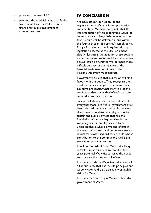- phase out the use of PFI;
- promote the establishment of a Public Investment Trust for Wales to raise finance for public investment at competitive rates.

# **IV CONCLUSION**

We have set out our vision for the regeneration of Wales. It is comprehensive and ambitious.We have no doubts that the implementation of this programme would be an enormous challenge.We understand too that it could not be delivered in full within the four-year span of a single Assembly term. Many of its elements will require primary legislation enacted at the UK Parliament clearly illustrating the need for those powers to be transferred to Wales. Much of what we believe could be achieved will be made more difficult because of the injustice of the financial settlement within which the National Assembly must operate.

However, we believe that our vision will find favour with the people.They recognise the need for radical change to transform their country's prospects.What many lack is the confidence that it is within Wales's reach to succeed as we believe it can.

Success will depend on the best efforts of everyone: those involved in government at all levels, elected members and public servants alike; those who strive from day to day to sustain the public services that are the foundation of our society; activists in the voluntary sector; employees and trade unionists; those whose drive and efforts in the world of business and commerce are so crucial for prosperity; ordinary people whose contribution to the community's well-being attracts no public attention.

It will be the task of Plaid Cymru the Party of Wales in Government to mobilise this great potential.We exist to serve the needs and advance the interests of Wales.

It is time to release Wales from the grasp of a Labour Party that has lost its principles and its conviction and that lacks any worthwhile vision for Wales.

It is time for The Party of Wales to lead the government of Wales.